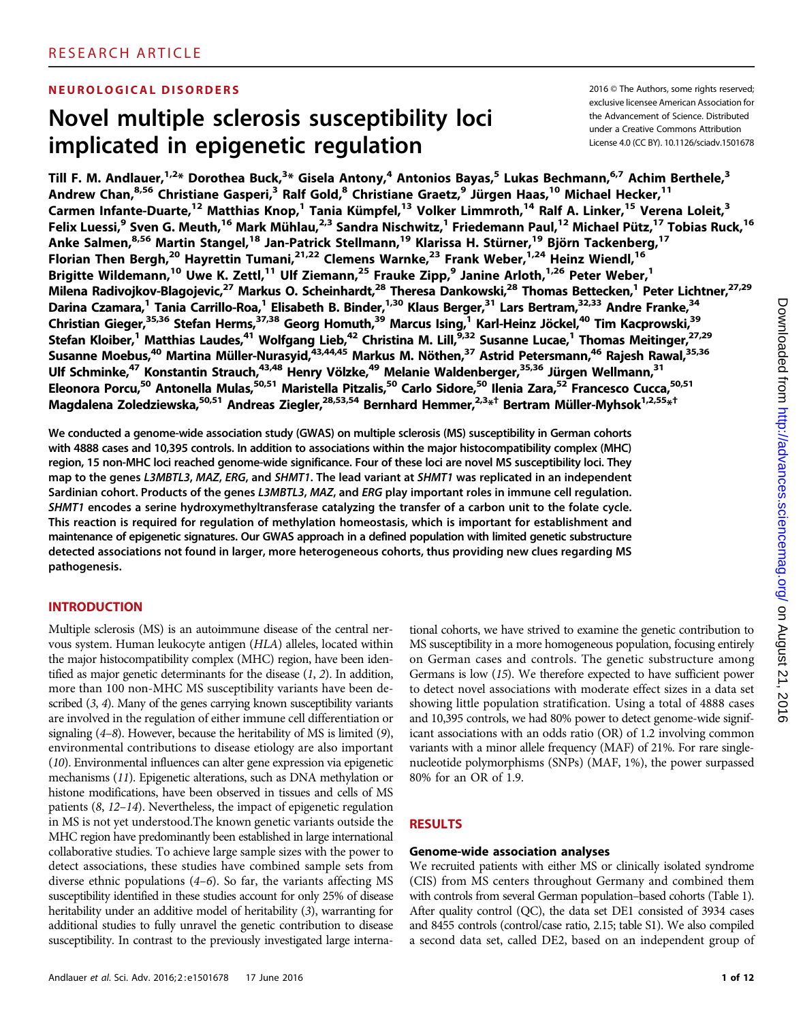#### NEUROLOGICAL DISORDERS 2016 © The Authors, some rights reserved;

## Novel multiple sclerosis susceptibility loci implicated in epigenetic regulation

exclusive licensee American Association for the Advancement of Science. Distributed under a Creative Commons Attribution License 4.0 (CC BY). 10.1126/sciadv.1501678

Till F. M. Andlauer,<sup>1,2</sup>\* Dorothea Buck,<sup>3</sup>\* Gisela Antony,<sup>4</sup> Antonios Bayas,<sup>5</sup> Lukas Bechmann,<sup>6,7</sup> Achim Berthele,<sup>3</sup> Andrew Chan,<sup>8,56</sup> Christiane Gasperi,<sup>3</sup> Ralf Gold,<sup>8</sup> Christiane Graetz,<sup>9</sup> Jürgen Haas,<sup>10</sup> Michael Hecker,<sup>11</sup> Carmen Infante-Duarte,<sup>12</sup> Matthias Knop,<sup>1</sup> Tania Kümpfel,<sup>13</sup> Volker Limmroth,<sup>14</sup> Ralf A. Linker,<sup>15</sup> Verena Loleit,<sup>3</sup> Felix Luessi,<sup>9</sup> Sven G. Meuth,<sup>16</sup> Mark Mühlau,<sup>2,3</sup> Sandra Nischwitz,<sup>1</sup> Friedemann Paul,<sup>12</sup> Michael Pütz,<sup>17</sup> Tobias Ruck,<sup>16</sup> Anke Salmen,<sup>8,56</sup> Martin Stangel,<sup>18</sup> Jan-Patrick Stellmann,<sup>19</sup> Klarissa H. Stürner,<sup>19</sup> Björn Tackenberg,<sup>17</sup> Florian Then Bergh,<sup>20</sup> Hayrettin Tumani,<sup>21,22</sup> Clemens Warnke,<sup>23</sup> Frank Weber,<sup>1,24</sup> Heinz Wiendl,<sup>16</sup> Brigitte Wildemann,<sup>10</sup> Uwe K. Zettl,<sup>11</sup> Ulf Ziemann,<sup>25</sup> Frauke Zipp,<sup>9</sup> Janine Arloth,<sup>1,26</sup> Peter Weber,<sup>1</sup> Milena Radivojkov-Blagojevic,<sup>27</sup> Markus O. Scheinhardt,<sup>28</sup> Theresa Dankowski,<sup>28</sup> Thomas Bettecken,<sup>1</sup> Peter Lichtner,<sup>27,29</sup> Darina Czamara,<sup>1</sup> Tania Carrillo-Roa,<sup>1</sup> Elisabeth B. Binder,<sup>1,30</sup> Klaus Berger,<sup>31</sup> Lars Bertram,<sup>32,33</sup> Andre Franke,<sup>34</sup> Christian Gieger,<sup>35,36</sup> Stefan Herms,<sup>37,38</sup> Georg Homuth,<sup>39</sup> Marcus Ising, Karl-Heinz Jöckel,<sup>40</sup> Tim Kacprowski,<sup>39</sup> Stefan Kloiber,<sup>1</sup> Matthias Laudes,<sup>41</sup> Wolfgang Lieb,<sup>42</sup> Christina M. Lill,<sup>9,32</sup> Susanne Lucae,<sup>1</sup> Thomas Meitinger,<sup>27,29</sup> Susanne Moebus,<sup>40</sup> Martina Müller-Nurasyid,<sup>43,44,45</sup> Markus M. Nöthen,<sup>37</sup> Astrid Petersmann,<sup>46</sup> Rajesh Rawal,<sup>35,36</sup> Ulf Schminke,<sup>47</sup> Konstantin Strauch,<sup>43,48</sup> Henry Völzke,<sup>49</sup> Melanie Waldenberger,<sup>35,36</sup> Jürgen Wellmann,<sup>31</sup> Eleonora Porcu,<sup>50</sup> Antonella Mulas,<sup>50,51</sup> Maristella Pitzalis,<sup>50</sup> Carlo Sidore,<sup>50</sup> Ilenia Zara,<sup>52</sup> Francesco Cucca,<sup>50,51</sup> Magdalena Zoledziewska, 50,51 Andreas Ziegler, 28,53,54 Bernhard Hemmer, 2,3\*+ Bertram Müller-Myhsok 1,2,55\*+

We conducted a genome-wide association study (GWAS) on multiple sclerosis (MS) susceptibility in German cohorts with 4888 cases and 10,395 controls. In addition to associations within the major histocompatibility complex (MHC) region, 15 non-MHC loci reached genome-wide significance. Four of these loci are novel MS susceptibility loci. They map to the genes L3MBTL3, MAZ, ERG, and SHMT1. The lead variant at SHMT1 was replicated in an independent Sardinian cohort. Products of the genes L3MBTL3, MAZ, and ERG play important roles in immune cell regulation. SHMT1 encodes a serine hydroxymethyltransferase catalyzing the transfer of a carbon unit to the folate cycle. This reaction is required for regulation of methylation homeostasis, which is important for establishment and maintenance of epigenetic signatures. Our GWAS approach in a defined population with limited genetic substructure detected associations not found in larger, more heterogeneous cohorts, thus providing new clues regarding MS pathogenesis.

#### INTRODUCTION

Multiple sclerosis (MS) is an autoimmune disease of the central nervous system. Human leukocyte antigen (HLA) alleles, located within the major histocompatibility complex (MHC) region, have been identified as major genetic determinants for the disease (1, 2). In addition, more than 100 non-MHC MS susceptibility variants have been described (3, 4). Many of the genes carrying known susceptibility variants are involved in the regulation of either immune cell differentiation or signaling (4–8). However, because the heritability of MS is limited (9), environmental contributions to disease etiology are also important (10). Environmental influences can alter gene expression via epigenetic mechanisms (11). Epigenetic alterations, such as DNA methylation or histone modifications, have been observed in tissues and cells of MS patients (8, 12–14). Nevertheless, the impact of epigenetic regulation in MS is not yet understood.The known genetic variants outside the MHC region have predominantly been established in large international collaborative studies. To achieve large sample sizes with the power to detect associations, these studies have combined sample sets from diverse ethnic populations (4–6). So far, the variants affecting MS susceptibility identified in these studies account for only 25% of disease heritability under an additive model of heritability (3), warranting for additional studies to fully unravel the genetic contribution to disease susceptibility. In contrast to the previously investigated large interna-

tional cohorts, we have strived to examine the genetic contribution to MS susceptibility in a more homogeneous population, focusing entirely on German cases and controls. The genetic substructure among Germans is low (15). We therefore expected to have sufficient power to detect novel associations with moderate effect sizes in a data set showing little population stratification. Using a total of 4888 cases and 10,395 controls, we had 80% power to detect genome-wide significant associations with an odds ratio (OR) of 1.2 involving common variants with a minor allele frequency (MAF) of 21%. For rare singlenucleotide polymorphisms (SNPs) (MAF, 1%), the power surpassed 80% for an OR of 1.9.

#### RESULTS

#### Genome-wide association analyses

We recruited patients with either MS or clinically isolated syndrome (CIS) from MS centers throughout Germany and combined them with controls from several German population–based cohorts (Table 1). After quality control (QC), the data set DE1 consisted of 3934 cases and 8455 controls (control/case ratio, 2.15; table S1). We also compiled a second data set, called DE2, based on an independent group of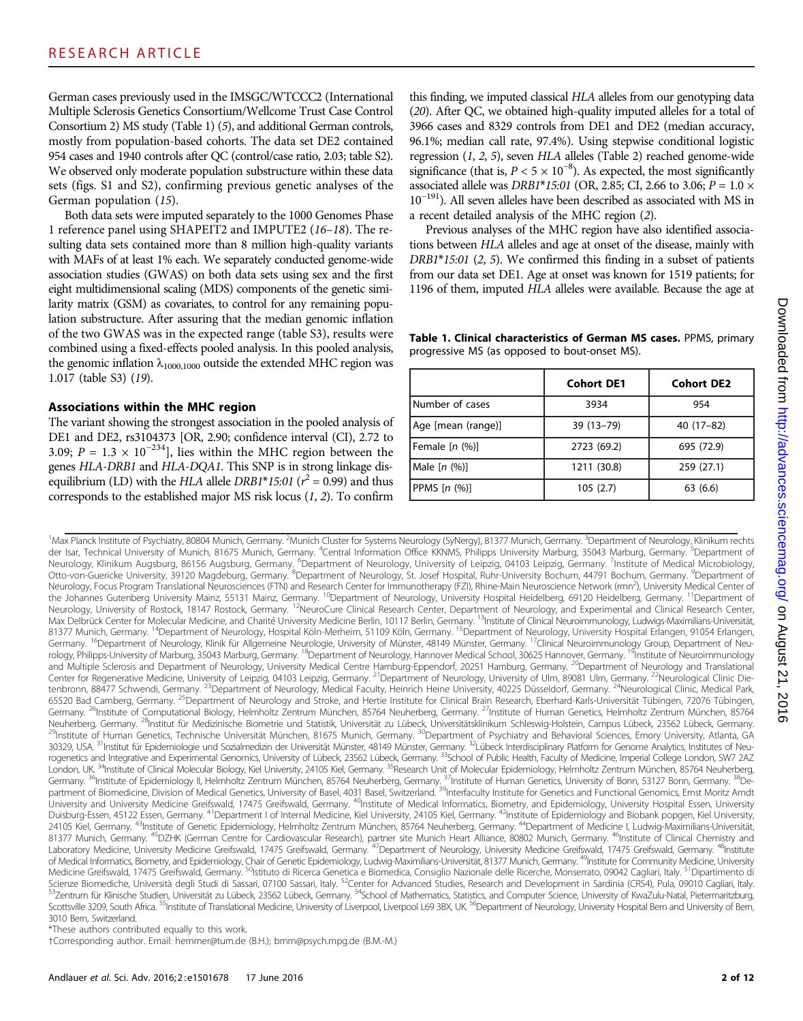German cases previously used in the IMSGC/WTCCC2 (International Multiple Sclerosis Genetics Consortium/Wellcome Trust Case Control Consortium 2) MS study (Table 1) (5), and additional German controls, mostly from population-based cohorts. The data set DE2 contained 954 cases and 1940 controls after QC (control/case ratio, 2.03; table S2). We observed only moderate population substructure within these data sets (figs. S1 and S2), confirming previous genetic analyses of the German population (15).

Both data sets were imputed separately to the 1000 Genomes Phase 1 reference panel using SHAPEIT2 and IMPUTE2 (16–18). The resulting data sets contained more than 8 million high-quality variants with MAFs of at least 1% each. We separately conducted genome-wide association studies (GWAS) on both data sets using sex and the first eight multidimensional scaling (MDS) components of the genetic similarity matrix (GSM) as covariates, to control for any remaining population substructure. After assuring that the median genomic inflation of the two GWAS was in the expected range (table S3), results were combined using a fixed-effects pooled analysis. In this pooled analysis, the genomic inflation  $\lambda_{1000,1000}$  outside the extended MHC region was 1.017 (table S3) (19).

## Associations within the MHC region

The variant showing the strongest association in the pooled analysis of DE1 and DE2, rs3104373 [OR, 2.90; confidence interval (CI), 2.72 to 3.09;  $P = 1.3 \times 10^{-234}$ ], lies within the MHC region between the genes HLA-DRB1 and HLA-DQA1. This SNP is in strong linkage disequilibrium (LD) with the HLA allele DRB1\*15:01 ( $r^2 = 0.99$ ) and thus corresponds to the established major MS risk locus (1, 2). To confirm

this finding, we imputed classical HLA alleles from our genotyping data (20). After QC, we obtained high-quality imputed alleles for a total of 3966 cases and 8329 controls from DE1 and DE2 (median accuracy, 96.1%; median call rate, 97.4%). Using stepwise conditional logistic regression (1, 2, 5), seven HLA alleles (Table 2) reached genome-wide significance (that is,  $P < 5 \times 10^{-8}$ ). As expected, the most significantly associated allele was *DRB1\*15:01* (OR, 2.85; CI, 2.66 to 3.06;  $P = 1.0 \times$ 10<sup>−</sup>191). All seven alleles have been described as associated with MS in a recent detailed analysis of the MHC region (2).

Previous analyses of the MHC region have also identified associations between HLA alleles and age at onset of the disease, mainly with DRB1\*15:01 (2, 5). We confirmed this finding in a subset of patients from our data set DE1. Age at onset was known for 1519 patients; for 1196 of them, imputed HLA alleles were available. Because the age at

Table 1. Clinical characteristics of German MS cases. PPMS, primary progressive MS (as opposed to bout-onset MS).

|                    | <b>Cohort DE1</b> | <b>Cohort DE2</b> |  |  |
|--------------------|-------------------|-------------------|--|--|
| Number of cases    | 3934              | 954               |  |  |
| Age [mean (range)] | 39 (13-79)        | 40 (17-82)        |  |  |
| Female $[n (%)]$   | 2723 (69.2)       | 695 (72.9)        |  |  |
| Male $[n (%)]$     | 1211 (30.8)       | 259 (27.1)        |  |  |
| PPMS $[n (%)]$     | 105(2.7)          | 63(6.6)           |  |  |
|                    |                   |                   |  |  |

<sup>1</sup>Max Planck Institute of Psychiatry, 80804 Munich, Germany. <sup>2</sup>Munich Cluster for Systems Neurology (SyNergy), 81377 Munich, Germany. <sup>3</sup>Department of Neurology, Klinikum rechts der Isar, Technical University of Munich, 81675 Munich, Germany. <sup>4</sup>Central Information Office KKNMS, Philipps University Marburg, 35043 Marburg, Germany. <sup>5</sup>Department of Neurology, Klinikum Augsburg, 86156 Augsburg, Germany. <sup>6</sup>Department of Neurology, University of Leipzig, 04103 Leipzig, Germany. <sup>7</sup>Institute of Medical Microbiology,<br>Otto-von-Guericke University, 39120 Magdeburg, Germany Neurology, Focus Program Translational Neurosciences (FTN) and Research Center for Immunotherapy (FZI), Rhine-Main Neuroscience Network (rmn<sup>2</sup>), University Medical Center of<br>the Johannes Gutenberg University Mainz, 55131 Neurology, University of Rostock, 18147 Rostock, Germany. <sup>12</sup>NeuroCure Clinical Research Center, Department of Neurology, and Experimental and Clinical Research Center, Max Delbrück Center for Molecular Medicine, and Charité University Medicine Berlin, 10117 Berlin, Germany. <sup>13</sup>Institute of Clinical Neuroimmunology, Ludwigs-Maximilians-Universität, Mac Belonden Center for Morecular Medicine, and chance only say medicine Behin, 19777 Behin, Germany. <sup>15</sup>Department of Neurology, University Hospital Erlangen, 91054 Erlangen, 91054 Erlangen, 91054 Erlangen, 91054 Erlange Germany. <sup>16</sup>Department of Neurology, Klinik für Allgemeine Neurologie, University of Münster, 48149 Münster, Germany. <sup>17</sup>Clinical Neuroimmunology Group, Department of Neurology, Philipps-University of Marburg, 35043 Marburg, Germany. <sup>18</sup>Department of Neurology, Hannover Medical School, 30625 Hannover, Germany. <sup>19</sup>Institute of Neuroimmunology and Multiple Sclerosis and Department of Neurology, University Medical Centre Hamburg-Eppendorf, 20251 Hamburg, Germany. <sup>20</sup>Department of Neurology and Translational Center for Regenerative Medicine, University of Leipzig, 04103 Leipzig, Germany. <sup>21</sup>Department of Neurology, University of Ulm, 89081 Ulm, Germany. <sup>22</sup>Neurological Clinic Dietenbronn, 88477 Schwendi, Germany. <sup>23</sup>Department of Neurology, Medical Faculty, Heinrich Heine University, 40225 Düsseldorf, Germany. <sup>24</sup>Neurological Clinic, Medical Park, 65520 Bad Camberg, Germany. <sup>25</sup>Department of Neurology and Stroke, and Hertie Institute for Clinical Brain Research, Eberhard-Karls-Universität Tübingen, 72076 Tübingen, Germany. <sup>26</sup>Institute of Computational Biology, Helmholtz Zentrum München, 85764 Neuherberg, Germany. <sup>27</sup>Institute of Human Genetics, Helmholtz Zentrum München, 85764 Neuherberg, Germany. <sup>28</sup>Institut für Medizinische Biometrie und Statistik, Universität zu Lübeck, Universitätsklinikum Schleswig-Holstein, Campus Lübeck, 23562 Lübeck, Germany.<br><sup>29</sup>Institute of Human Genetics, Technische 30329, USA. <sup>31</sup>Institut für Epidemiologie und Sozialmedizin der Universität Münster, 48149 Münster, Germany. <sup>32</sup>Lübeck Interdisciplinary Platform for Genome Analytics, Institutes of Neurogenetics and Integrative and Experimental Genomics, University of Lübeck, 23562 Lübeck, Germany. <sup>33</sup>School of Public Health, Faculty of Medicine, Imperial College London, SW7 2AZ London, UK. <sup>34</sup>Institute of Clinical Molecular Biology, Kiel University, 24105 Kiel, Germany. <sup>35</sup>Research Unit of Molecular Epidemiology, Helmholtz Zentrum München, 85764 Neuherberg, Germany. <sup>36</sup>Institute of Epidemiology II, Helmholtz Zentrum München, 85764 Neuherberg, Germany. <sup>37</sup>Institute of Human Genetics, University of Bonn, 53127 Bonn, Germany. <sup>38</sup>Department of Biomedicine, Division of Medical Genetics, University of Basel, 4031 Basel, Switzerland. <sup>39</sup>Interfaculty Institute for Genetics and Functional Genomics, Ernst Moritz Arndt University and University Medicine Greifswald, 17475 Greifswald, Germany. <sup>40</sup>Institute of Medical Informatics, Biometry, and Epidemiology, University Hospital Essen, University Duisburg-Essen, 45122 Essen, Germany. <sup>41</sup>Department I of Internal Medicine, Kiel University, 24105 Kiel, Germany. <sup>42</sup>Institute of Epidemiology and Biobank popgen, Kiel University, 24105 Kiel, Germany. <sup>43</sup>Institute of Genetic Epidemiology, Helmholtz Zentrum München, 85764 Neuherberg, Germany. <sup>44</sup>Department of Medicine I, Ludwig-Maximilians-Universität, 81377 Munich, Germany. <sup>45</sup>DZHK (German Centre for Cardiovascular Research), partner site Munich Heart Alliance, 80802 Munich, Germany. <sup>46</sup>Institute of Clinical Chemistry and Laboratory Medicine, University Medicine Greifswald, 17475 Greifswald, Germany. <sup>47</sup>Department of Neurology, University Medicine Greifswald, 17475 Greifswald, Germany. <sup>48</sup>Institute of Medical Informatics, Biometry, and Epidemiology, Chair of Genetic Epidemiology, Ludwig-Maximilians-Universität, 81377 Munich, Germany. <sup>49</sup>Institute for Community Medicine, University Medicine Greifswald, 17475 Greifswald, Germany. <sup>50</sup>Istituto di Ricerca Genetica e Biomedica, Consiglio Nazionale delle Ricerche, Monserrato, 09042 Cagliari, Italy. <sup>51</sup>Dipartimento di Nicialist Charlotter Mary Schmuny, Charlotter Schmutz Charlies Research and Development in Sardinia (CRS4), Pula, 09010 Cagliari, Italy, Daly, Diplomatic Charlies, Research and Development in Sardinia (CRS4), Pula, 09010 C Scottsville 3209, South Africa. <sup>55</sup>Institute of Translational Medicine, University of Liverpool, Liverpool L69 3BX, UK. <sup>56</sup>Department of Neurology, University Hospital Bern and University of Bern, 3010 Bern, Switzerland.

\*These authors contributed equally to this work.

*†*Corresponding author. Email: hemmer@tum.de (B.H.); bmm@psych.mpg.de (B.M.-M.)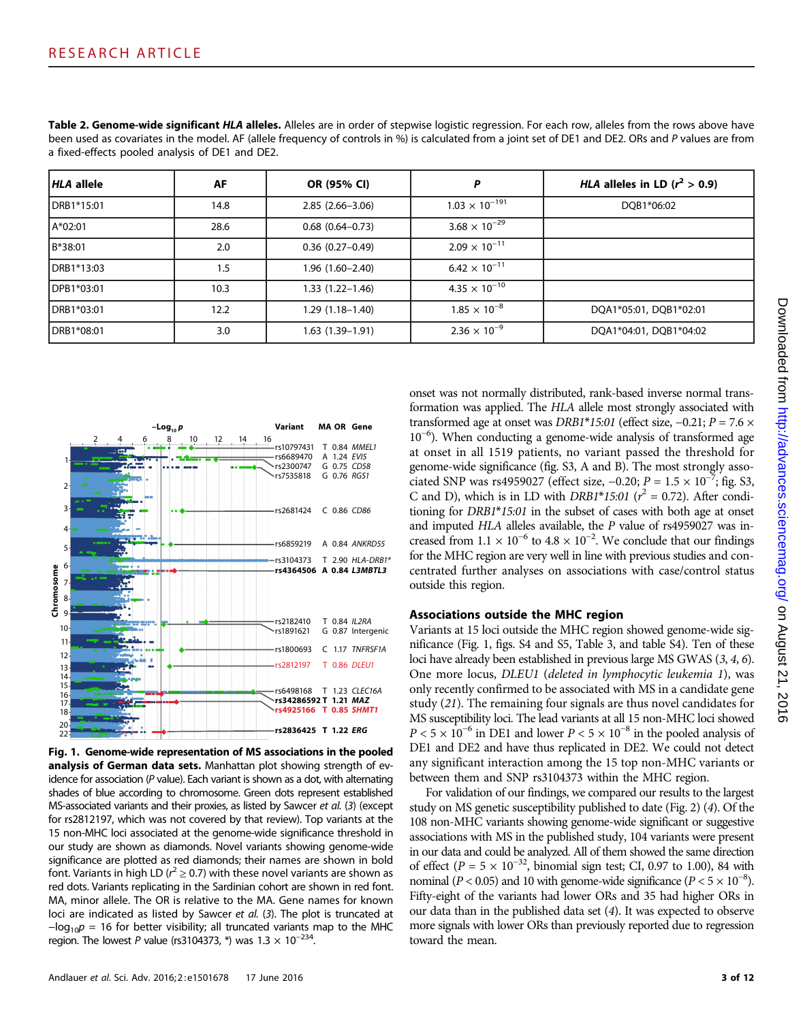| <i>HLA</i> allele | AF   |                        | Ρ                       | HLA alleles in LD ( $r^2 > 0.9$ ) |  |  |
|-------------------|------|------------------------|-------------------------|-----------------------------------|--|--|
| DRB1*15:01        | 14.8 | $2.85(2.66 - 3.06)$    | $1.03 \times 10^{-191}$ | DOB1*06:02                        |  |  |
| A*02:01           | 28.6 | $0.68$ $(0.64 - 0.73)$ | $3.68 \times 10^{-29}$  |                                   |  |  |
| B*38:01           | 2.0  | $0.36(0.27-0.49)$      | $2.09 \times 10^{-11}$  |                                   |  |  |
| DRB1*13:03        | 1.5  | $1.96(1.60 - 2.40)$    | $6.42 \times 10^{-11}$  |                                   |  |  |
| DPB1*03:01        | 10.3 | $1.33(1.22 - 1.46)$    | $4.35 \times 10^{-10}$  |                                   |  |  |
| DRB1*03:01        | 12.2 | $1.29(1.18-1.40)$      | $1.85 \times 10^{-8}$   | DQA1*05:01, DQB1*02:01            |  |  |
| DRB1*08:01        | 3.0  | 1.63 (1.39-1.91)       | $2.36 \times 10^{-9}$   | DQA1*04:01, DQB1*04:02            |  |  |

Table 2. Genome-wide significant HLA alleles. Alleles are in order of stepwise logistic regression. For each row, alleles from the rows above have been used as covariates in the model. AF (allele frequency of controls in %) is calculated from a joint set of DE1 and DE2. ORs and P values are from a fixed-effects pooled analysis of DE1 and DE2.



Fig. 1. Genome-wide representation of MS associations in the pooled analysis of German data sets. Manhattan plot showing strength of evidence for association ( $P$  value). Each variant is shown as a dot, with alternating shades of blue according to chromosome. Green dots represent established MS-associated variants and their proxies, as listed by Sawcer et al. (3) (except for rs2812197, which was not covered by that review). Top variants at the 15 non-MHC loci associated at the genome-wide significance threshold in our study are shown as diamonds. Novel variants showing genome-wide significance are plotted as red diamonds; their names are shown in bold font. Variants in high LD ( $r^2 \ge 0.7$ ) with these novel variants are shown as red dots. Variants replicating in the Sardinian cohort are shown in red font. MA, minor allele. The OR is relative to the MA. Gene names for known loci are indicated as listed by Sawcer et al. (3). The plot is truncated at  $-log_{10}p = 16$  for better visibility; all truncated variants map to the MHC region. The lowest P value (rs3104373, \*) was  $1.3 \times 10^{-234}$ .

onset was not normally distributed, rank-based inverse normal transformation was applied. The HLA allele most strongly associated with transformed age at onset was DRB1\*15:01 (effect size,  $-0.21$ ;  $P = 7.6 \times$ 10−<sup>6</sup> ). When conducting a genome-wide analysis of transformed age at onset in all 1519 patients, no variant passed the threshold for genome-wide significance (fig. S3, A and B). The most strongly associated SNP was rs4959027 (effect size,  $-0.20$ ;  $P = 1.5 \times 10^{-7}$ ; fig. S3, C and D), which is in LD with *DRB1\*15:01* ( $r^2 = 0.72$ ). After conditioning for DRB1\*15:01 in the subset of cases with both age at onset and imputed HLA alleles available, the P value of rs4959027 was increased from  $1.1 \times 10^{-6}$  to  $4.8 \times 10^{-2}$ . We conclude that our findings for the MHC region are very well in line with previous studies and concentrated further analyses on associations with case/control status outside this region.

#### Associations outside the MHC region

Variants at 15 loci outside the MHC region showed genome-wide significance (Fig. 1, figs. S4 and S5, Table 3, and table S4). Ten of these loci have already been established in previous large MS GWAS (3, 4, 6). One more locus, DLEU1 (deleted in lymphocytic leukemia 1), was only recently confirmed to be associated with MS in a candidate gene study (21). The remaining four signals are thus novel candidates for MS susceptibility loci. The lead variants at all 15 non-MHC loci showed  $P < 5 \times 10^{-6}$  in DE1 and lower  $P < 5 \times 10^{-8}$  in the pooled analysis of DE1 and DE2 and have thus replicated in DE2. We could not detect any significant interaction among the 15 top non-MHC variants or between them and SNP rs3104373 within the MHC region.

For validation of our findings, we compared our results to the largest study on MS genetic susceptibility published to date (Fig. 2) (4). Of the 108 non-MHC variants showing genome-wide significant or suggestive associations with MS in the published study, 104 variants were present in our data and could be analyzed. All of them showed the same direction of effect ( $P = 5 \times 10^{-32}$ , binomial sign test; CI, 0.97 to 1.00), 84 with nominal ( $P < 0.05$ ) and 10 with genome-wide significance ( $P < 5 \times 10^{-8}$ ). Fifty-eight of the variants had lower ORs and 35 had higher ORs in our data than in the published data set (4). It was expected to observe more signals with lower ORs than previously reported due to regression toward the mean.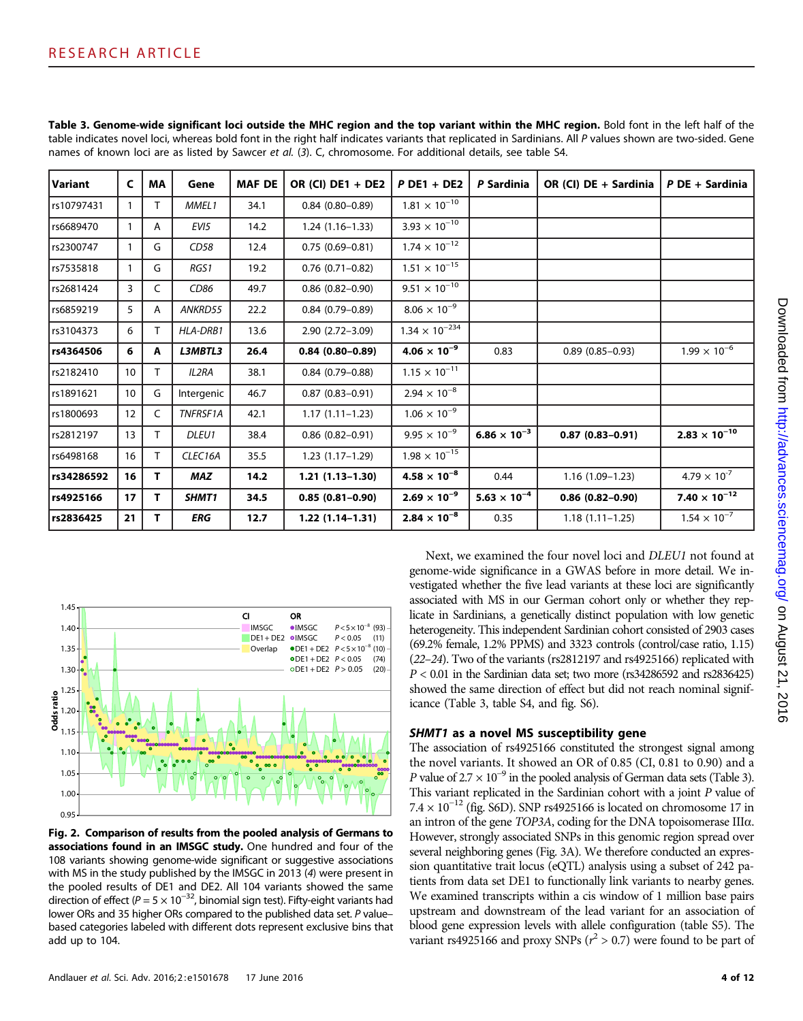| Variant    | C  | MA           | Gene            | <b>MAF DE</b> | OR (CI) DE1 + DE2      | $P$ DE1 + DE2           | P Sardinia            | OR (CI) DE + Sardinia  | $P$ DE + Sardinia      |
|------------|----|--------------|-----------------|---------------|------------------------|-------------------------|-----------------------|------------------------|------------------------|
| rs10797431 |    | T.           | MMEL1           | 34.1          | $0.84(0.80 - 0.89)$    | $1.81 \times 10^{-10}$  |                       |                        |                        |
| rs6689470  |    | Α            | EVI5            | 14.2          | $1.24(1.16-1.33)$      | $3.93 \times 10^{-10}$  |                       |                        |                        |
| rs2300747  | 1  | G            | CD58            | 12.4          | $0.75(0.69 - 0.81)$    | $1.74 \times 10^{-12}$  |                       |                        |                        |
| rs7535818  |    | G            | RGS1            | 19.2          | $0.76$ $(0.71 - 0.82)$ | $1.51 \times 10^{-15}$  |                       |                        |                        |
| rs2681424  | 3  | C            | CD86            | 49.7          | $0.86(0.82 - 0.90)$    | $9.51 \times 10^{-10}$  |                       |                        |                        |
| rs6859219  | 5  | Α            | ANKRD55         | 22.2          | $0.84(0.79 - 0.89)$    | $8.06 \times 10^{-9}$   |                       |                        |                        |
| rs3104373  | 6  | T            | HLA-DRB1        | 13.6          | 2.90 (2.72-3.09)       | $1.34 \times 10^{-234}$ |                       |                        |                        |
| rs4364506  | 6  | A            | L3MBTL3         | 26.4          | $0.84(0.80 - 0.89)$    | $4.06 \times 10^{-9}$   | 0.83                  | $0.89$ $(0.85 - 0.93)$ | $1.99 \times 10^{-6}$  |
| rs2182410  | 10 | $\mathsf{T}$ | IL2RA           | 38.1          | $0.84(0.79-0.88)$      | $1.15 \times 10^{-11}$  |                       |                        |                        |
| rs1891621  | 10 | G            | Intergenic      | 46.7          | $0.87(0.83 - 0.91)$    | $2.94 \times 10^{-8}$   |                       |                        |                        |
| rs1800693  | 12 | C            | <b>TNFRSF1A</b> | 42.1          | $1.17(1.11 - 1.23)$    | $1.06 \times 10^{-9}$   |                       |                        |                        |
| rs2812197  | 13 | T            | DLEU1           | 38.4          | $0.86$ $(0.82 - 0.91)$ | $9.95 \times 10^{-9}$   | $6.86 \times 10^{-3}$ | $0.87(0.83 - 0.91)$    | $2.83 \times 10^{-10}$ |
| rs6498168  | 16 | T.           | CLEC16A         | 35.5          | $1.23(1.17-1.29)$      | $1.98 \times 10^{-15}$  |                       |                        |                        |
| rs34286592 | 16 | т            | <b>MAZ</b>      | 14.2          | $1.21(1.13-1.30)$      | $4.58 \times 10^{-8}$   | 0.44                  | $1.16(1.09-1.23)$      | $4.79 \times 10^{-7}$  |
| rs4925166  | 17 | т            | SHMT1           | 34.5          | $0.85(0.81 - 0.90)$    | $2.69 \times 10^{-9}$   | $5.63 \times 10^{-4}$ | $0.86$ $(0.82 - 0.90)$ | $7.40 \times 10^{-12}$ |
| rs2836425  | 21 | т            | <b>ERG</b>      | 12.7          | $1.22(1.14-1.31)$      | $2.84 \times 10^{-8}$   | 0.35                  | $1.18(1.11 - 1.25)$    | $1.54 \times 10^{-7}$  |
|            |    |              |                 |               |                        |                         |                       |                        |                        |

Table 3. Genome-wide significant loci outside the MHC region and the top variant within the MHC region. Bold font in the left half of the table indicates novel loci, whereas bold font in the right half indicates variants that replicated in Sardinians. All P values shown are two-sided. Gene names of known loci are as listed by Sawcer et al. (3). C, chromosome. For additional details, see table S4.



Fig. 2. Comparison of results from the pooled analysis of Germans to associations found in an IMSGC study. One hundred and four of the 108 variants showing genome-wide significant or suggestive associations with MS in the study published by the IMSGC in 2013 (4) were present in the pooled results of DE1 and DE2. All 104 variants showed the same direction of effect ( $P = 5 \times 10^{-32}$ , binomial sign test). Fifty-eight variants had lower ORs and 35 higher ORs compared to the published data set. P valuebased categories labeled with different dots represent exclusive bins that add up to 104.

Next, we examined the four novel loci and DLEU1 not found at genome-wide significance in a GWAS before in more detail. We investigated whether the five lead variants at these loci are significantly associated with MS in our German cohort only or whether they replicate in Sardinians, a genetically distinct population with low genetic heterogeneity. This independent Sardinian cohort consisted of 2903 cases (69.2% female, 1.2% PPMS) and 3323 controls (control/case ratio, 1.15) (22–24). Two of the variants (rs2812197 and rs4925166) replicated with  $P < 0.01$  in the Sardinian data set; two more (rs34286592 and rs2836425) showed the same direction of effect but did not reach nominal significance (Table 3, table S4, and fig. S6).

## SHMT1 as a novel MS susceptibility gene

The association of rs4925166 constituted the strongest signal among the novel variants. It showed an OR of 0.85 (CI, 0.81 to 0.90) and a P value of  $2.7 \times 10^{-9}$  in the pooled analysis of German data sets (Table 3). This variant replicated in the Sardinian cohort with a joint P value of  $7.4 \times 10^{-12}$  (fig. S6D). SNP rs4925166 is located on chromosome 17 in an intron of the gene TOP3A, coding for the DNA topoisomerase IIIa. However, strongly associated SNPs in this genomic region spread over several neighboring genes (Fig. 3A). We therefore conducted an expression quantitative trait locus (eQTL) analysis using a subset of 242 patients from data set DE1 to functionally link variants to nearby genes. We examined transcripts within a cis window of 1 million base pairs upstream and downstream of the lead variant for an association of blood gene expression levels with allele configuration (table S5). The variant rs4925166 and proxy SNPs ( $r^2 > 0.7$ ) were found to be part of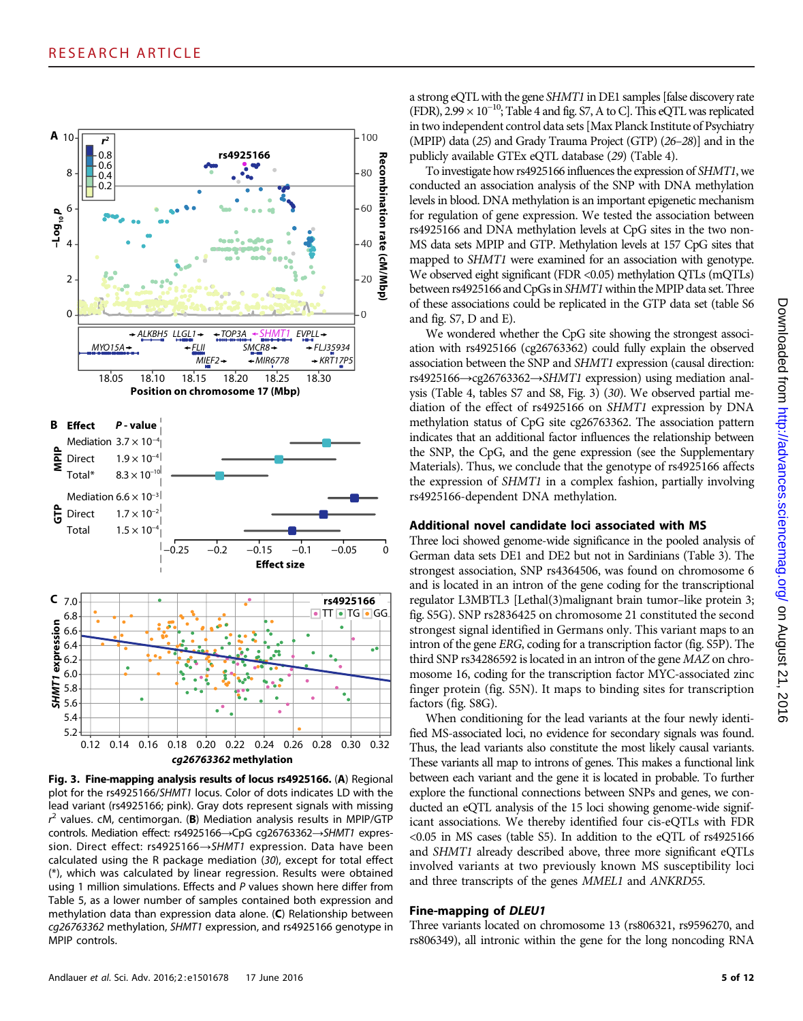

Fig. 3. Fine-mapping analysis results of locus rs4925166. (A) Regional plot for the rs4925166/SHMT1 locus. Color of dots indicates LD with the lead variant (rs4925166; pink). Gray dots represent signals with missing  $r^2$  values. cM, centimorgan. (B) Mediation analysis results in MPIP/GTP controls. Mediation effect: rs4925166→CpG cg26763362→SHMT1 expression. Direct effect: rs4925166→SHMT1 expression. Data have been calculated using the R package mediation (30), except for total effect (\*), which was calculated by linear regression. Results were obtained using 1 million simulations. Effects and P values shown here differ from Table 5, as a lower number of samples contained both expression and methylation data than expression data alone. (C) Relationship between cg26763362 methylation, SHMT1 expression, and rs4925166 genotype in MPIP controls.

a strong eQTL with the gene SHMT1 in DE1 samples [false discovery rate (FDR),  $2.99 \times 10^{-10}$ ; Table 4 and fig. S7, A to C]. This eQTL was replicated in two independent control data sets [Max Planck Institute of Psychiatry (MPIP) data (25) and Grady Trauma Project (GTP) (26–28)] and in the publicly available GTEx eQTL database (29) (Table 4).

To investigate how rs4925166 influences the expression of SHMT1, we conducted an association analysis of the SNP with DNA methylation levels in blood. DNA methylation is an important epigenetic mechanism for regulation of gene expression. We tested the association between rs4925166 and DNA methylation levels at CpG sites in the two non-MS data sets MPIP and GTP. Methylation levels at 157 CpG sites that mapped to SHMT1 were examined for an association with genotype. We observed eight significant (FDR <0.05) methylation QTLs (mQTLs) between rs4925166 and CpGs in SHMT1 within the MPIP data set. Three of these associations could be replicated in the GTP data set (table S6 and fig. S7, D and E).

We wondered whether the CpG site showing the strongest association with rs4925166 (cg26763362) could fully explain the observed association between the SNP and SHMT1 expression (causal direction: rs4925166→cg26763362→SHMT1 expression) using mediation analysis (Table 4, tables S7 and S8, Fig. 3) (30). We observed partial mediation of the effect of rs4925166 on SHMT1 expression by DNA methylation status of CpG site cg26763362. The association pattern indicates that an additional factor influences the relationship between the SNP, the CpG, and the gene expression (see the Supplementary Materials). Thus, we conclude that the genotype of rs4925166 affects the expression of SHMT1 in a complex fashion, partially involving rs4925166-dependent DNA methylation.

## Additional novel candidate loci associated with MS

Three loci showed genome-wide significance in the pooled analysis of German data sets DE1 and DE2 but not in Sardinians (Table 3). The strongest association, SNP rs4364506, was found on chromosome 6 and is located in an intron of the gene coding for the transcriptional regulator L3MBTL3 [Lethal(3)malignant brain tumor–like protein 3; fig. S5G). SNP rs2836425 on chromosome 21 constituted the second strongest signal identified in Germans only. This variant maps to an intron of the gene ERG, coding for a transcription factor (fig. S5P). The third SNP rs34286592 is located in an intron of the gene MAZ on chromosome 16, coding for the transcription factor MYC-associated zinc finger protein (fig. S5N). It maps to binding sites for transcription factors (fig. S8G).

When conditioning for the lead variants at the four newly identified MS-associated loci, no evidence for secondary signals was found. Thus, the lead variants also constitute the most likely causal variants. These variants all map to introns of genes. This makes a functional link between each variant and the gene it is located in probable. To further explore the functional connections between SNPs and genes, we conducted an eQTL analysis of the 15 loci showing genome-wide significant associations. We thereby identified four cis-eQTLs with FDR <0.05 in MS cases (table S5). In addition to the eQTL of rs4925166 and SHMT1 already described above, three more significant eQTLs involved variants at two previously known MS susceptibility loci and three transcripts of the genes MMEL1 and ANKRD55.

#### Fine-mapping of DLEU1

Three variants located on chromosome 13 (rs806321, rs9596270, and rs806349), all intronic within the gene for the long noncoding RNA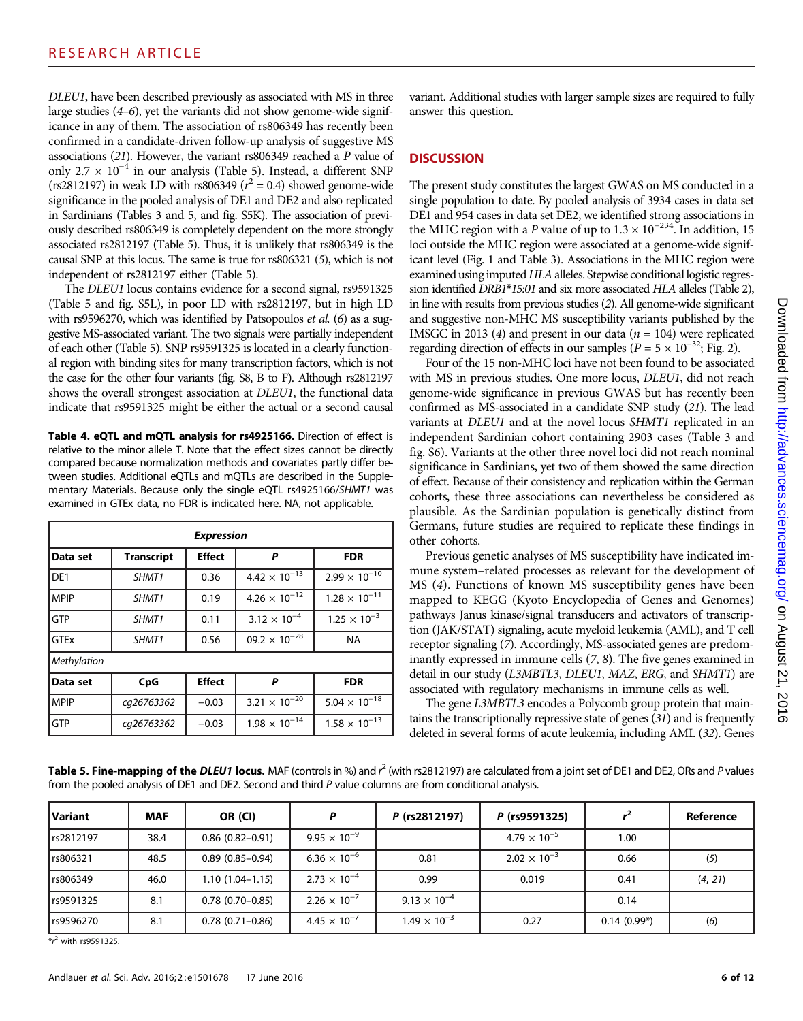DLEU1, have been described previously as associated with MS in three large studies (4–6), yet the variants did not show genome-wide significance in any of them. The association of rs806349 has recently been confirmed in a candidate-driven follow-up analysis of suggestive MS associations (21). However, the variant rs806349 reached a P value of only 2.7  $\times$  10<sup>-4</sup> in our analysis (Table 5). Instead, a different SNP (rs2812197) in weak LD with rs806349 ( $r^2 = 0.4$ ) showed genome-wide significance in the pooled analysis of DE1 and DE2 and also replicated in Sardinians (Tables 3 and 5, and fig. S5K). The association of previously described rs806349 is completely dependent on the more strongly associated rs2812197 (Table 5). Thus, it is unlikely that rs806349 is the causal SNP at this locus. The same is true for rs806321 (5), which is not independent of rs2812197 either (Table 5).

The DLEU1 locus contains evidence for a second signal, rs9591325 (Table 5 and fig. S5L), in poor LD with rs2812197, but in high LD with rs9596270, which was identified by Patsopoulos *et al.* (6) as a suggestive MS-associated variant. The two signals were partially independent of each other (Table 5). SNP rs9591325 is located in a clearly functional region with binding sites for many transcription factors, which is not the case for the other four variants (fig. S8, B to F). Although rs2812197 shows the overall strongest association at DLEU1, the functional data indicate that rs9591325 might be either the actual or a second causal

Table 4. eQTL and mQTL analysis for rs4925166. Direction of effect is relative to the minor allele T. Note that the effect sizes cannot be directly compared because normalization methods and covariates partly differ between studies. Additional eQTLs and mQTLs are described in the Supplementary Materials. Because only the single eQTL rs4925166/SHMT1 was examined in GTEx data, no FDR is indicated here. NA, not applicable.

| <b>Expression</b> |                   |               |                        |                        |  |  |  |
|-------------------|-------------------|---------------|------------------------|------------------------|--|--|--|
| Data set          | <b>Transcript</b> | <b>Effect</b> | P                      | <b>FDR</b>             |  |  |  |
| DE1               | SHMT1             | 0.36          | $4.42 \times 10^{-13}$ | $2.99 \times 10^{-10}$ |  |  |  |
| <b>MPIP</b>       | SHMT1             | 0.19          | $4.26 \times 10^{-12}$ | $1.28 \times 10^{-11}$ |  |  |  |
| GTP               | SHMT1             | 0.11          | $3.12 \times 10^{-4}$  | $1.25 \times 10^{-3}$  |  |  |  |
| <b>GTEx</b>       | SHMT1             | 0.56          | $09.2 \times 10^{-28}$ | <b>NA</b>              |  |  |  |
| Methylation       |                   |               |                        |                        |  |  |  |
| Data set          | CpG               | <b>Effect</b> | Ρ                      | <b>FDR</b>             |  |  |  |
| <b>MPIP</b>       | cq26763362        | $-0.03$       | $3.21 \times 10^{-20}$ | $5.04 \times 10^{-18}$ |  |  |  |
| <b>GTP</b>        | cq26763362        | $-0.03$       | $1.98 \times 10^{-14}$ | $1.58 \times 10^{-13}$ |  |  |  |

variant. Additional studies with larger sample sizes are required to fully answer this question.

## **DISCUSSION**

The present study constitutes the largest GWAS on MS conducted in a single population to date. By pooled analysis of 3934 cases in data set DE1 and 954 cases in data set DE2, we identified strong associations in the MHC region with a P value of up to  $1.3 \times 10^{-234}$ . In addition, 15 loci outside the MHC region were associated at a genome-wide significant level (Fig. 1 and Table 3). Associations in the MHC region were examined using imputed HLA alleles. Stepwise conditional logistic regression identified DRB1\*15:01 and six more associated HLA alleles (Table 2), in line with results from previous studies (2). All genome-wide significant and suggestive non-MHC MS susceptibility variants published by the IMSGC in 2013 (4) and present in our data ( $n = 104$ ) were replicated regarding direction of effects in our samples ( $P = 5 \times 10^{-32}$ ; Fig. 2).

Four of the 15 non-MHC loci have not been found to be associated with MS in previous studies. One more locus, DLEU1, did not reach genome-wide significance in previous GWAS but has recently been confirmed as MS-associated in a candidate SNP study (21). The lead variants at DLEU1 and at the novel locus SHMT1 replicated in an independent Sardinian cohort containing 2903 cases (Table 3 and fig. S6). Variants at the other three novel loci did not reach nominal significance in Sardinians, yet two of them showed the same direction of effect. Because of their consistency and replication within the German cohorts, these three associations can nevertheless be considered as plausible. As the Sardinian population is genetically distinct from Germans, future studies are required to replicate these findings in other cohorts.

Previous genetic analyses of MS susceptibility have indicated immune system–related processes as relevant for the development of MS (4). Functions of known MS susceptibility genes have been mapped to KEGG (Kyoto Encyclopedia of Genes and Genomes) pathways Janus kinase/signal transducers and activators of transcription (JAK/STAT) signaling, acute myeloid leukemia (AML), and T cell receptor signaling (7). Accordingly, MS-associated genes are predominantly expressed in immune cells (7, 8). The five genes examined in detail in our study (L3MBTL3, DLEU1, MAZ, ERG, and SHMT1) are associated with regulatory mechanisms in immune cells as well.

The gene L3MBTL3 encodes a Polycomb group protein that maintains the transcriptionally repressive state of genes (31) and is frequently deleted in several forms of acute leukemia, including AML (32). Genes

Table 5. Fine-mapping of the DLEU1 locus. MAF (controls in %) and  $r^2$  (with rs2812197) are calculated from a joint set of DE1 and DE2, ORs and P values from the pooled analysis of DE1 and DE2. Second and third P value columns are from conditional analysis.

| Variant     | <b>MAF</b> | OR (CI)             | P                     | P (rs2812197)         | P (rs9591325)         |               | Reference |
|-------------|------------|---------------------|-----------------------|-----------------------|-----------------------|---------------|-----------|
| rs2812197   | 38.4       | $0.86$ (0.82-0.91)  | $9.95 \times 10^{-9}$ |                       | $4.79 \times 10^{-5}$ | 1.00          |           |
| rs806321    | 48.5       | $0.89(0.85 - 0.94)$ | $6.36 \times 10^{-6}$ | 0.81                  | $2.02 \times 10^{-3}$ | 0.66          | (5)       |
| rs806349    | 46.0       | $1.10(1.04 - 1.15)$ | $2.73 \times 10^{-4}$ | 0.99                  | 0.019                 | 0.41          | (4, 21)   |
| l rs9591325 | 8.1        | $0.78$ (0.70-0.85)  | $2.26 \times 10^{-7}$ | $9.13 \times 10^{-4}$ |                       | 0.14          |           |
| rs9596270   | 8.1        | $0.78(0.71 - 0.86)$ | $4.45 \times 10^{-7}$ | $1.49 \times 10^{-3}$ | 0.27                  | $0.14(0.99*)$ | (6)       |

 $*r^2$  with rs9591325.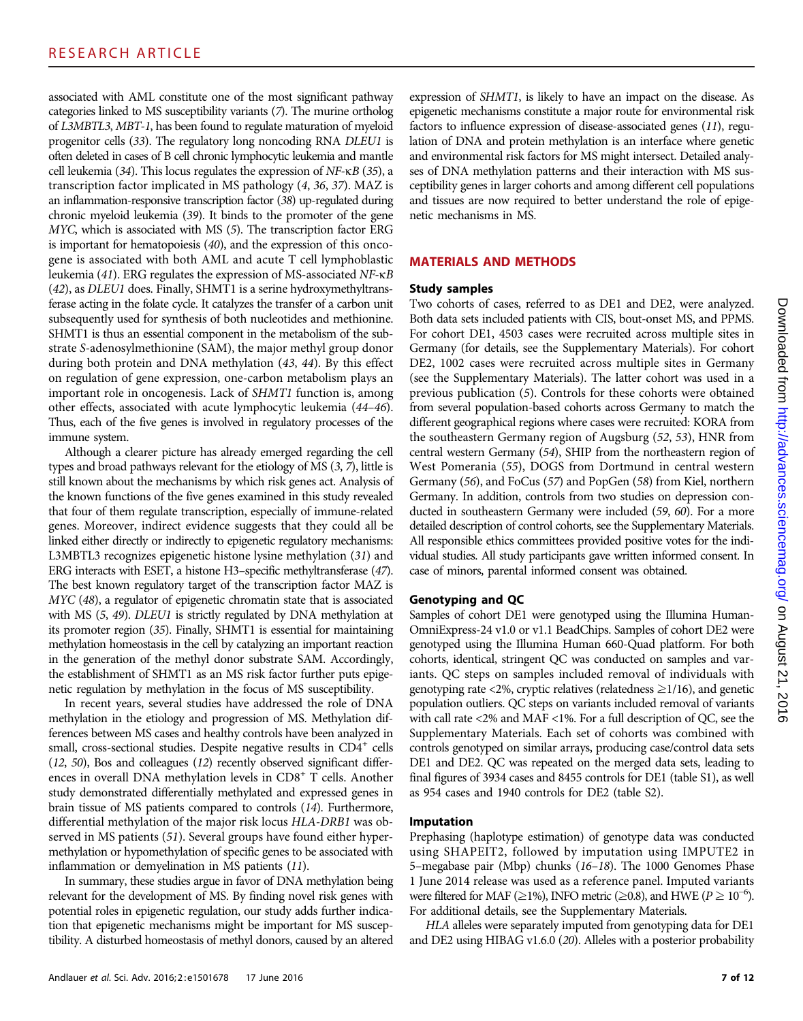associated with AML constitute one of the most significant pathway categories linked to MS susceptibility variants (7). The murine ortholog of L3MBTL3, MBT-1, has been found to regulate maturation of myeloid progenitor cells (33). The regulatory long noncoding RNA DLEU1 is often deleted in cases of B cell chronic lymphocytic leukemia and mantle cell leukemia (34). This locus regulates the expression of  $NF-\kappa B$  (35), a transcription factor implicated in MS pathology (4, 36, 37). MAZ is an inflammation-responsive transcription factor (38) up-regulated during chronic myeloid leukemia (39). It binds to the promoter of the gene MYC, which is associated with MS (5). The transcription factor ERG is important for hematopoiesis (40), and the expression of this oncogene is associated with both AML and acute T cell lymphoblastic leukemia (41). ERG regulates the expression of MS-associated NF-kB (42), as DLEU1 does. Finally, SHMT1 is a serine hydroxymethyltransferase acting in the folate cycle. It catalyzes the transfer of a carbon unit subsequently used for synthesis of both nucleotides and methionine. SHMT1 is thus an essential component in the metabolism of the substrate S-adenosylmethionine (SAM), the major methyl group donor during both protein and DNA methylation (43, 44). By this effect on regulation of gene expression, one-carbon metabolism plays an important role in oncogenesis. Lack of SHMT1 function is, among other effects, associated with acute lymphocytic leukemia (44–46). Thus, each of the five genes is involved in regulatory processes of the immune system.

Although a clearer picture has already emerged regarding the cell types and broad pathways relevant for the etiology of MS (3, 7), little is still known about the mechanisms by which risk genes act. Analysis of the known functions of the five genes examined in this study revealed that four of them regulate transcription, especially of immune-related genes. Moreover, indirect evidence suggests that they could all be linked either directly or indirectly to epigenetic regulatory mechanisms: L3MBTL3 recognizes epigenetic histone lysine methylation (31) and ERG interacts with ESET, a histone H3–specific methyltransferase (47). The best known regulatory target of the transcription factor MAZ is MYC (48), a regulator of epigenetic chromatin state that is associated with MS (5, 49). DLEU1 is strictly regulated by DNA methylation at its promoter region (35). Finally, SHMT1 is essential for maintaining methylation homeostasis in the cell by catalyzing an important reaction in the generation of the methyl donor substrate SAM. Accordingly, the establishment of SHMT1 as an MS risk factor further puts epigenetic regulation by methylation in the focus of MS susceptibility.

In recent years, several studies have addressed the role of DNA methylation in the etiology and progression of MS. Methylation differences between MS cases and healthy controls have been analyzed in small, cross-sectional studies. Despite negative results in  $CD4^+$  cells (12, 50), Bos and colleagues (12) recently observed significant differences in overall DNA methylation levels in CD8<sup>+</sup> T cells. Another study demonstrated differentially methylated and expressed genes in brain tissue of MS patients compared to controls (14). Furthermore, differential methylation of the major risk locus HLA-DRB1 was observed in MS patients (51). Several groups have found either hypermethylation or hypomethylation of specific genes to be associated with inflammation or demyelination in MS patients (11).

In summary, these studies argue in favor of DNA methylation being relevant for the development of MS. By finding novel risk genes with potential roles in epigenetic regulation, our study adds further indication that epigenetic mechanisms might be important for MS susceptibility. A disturbed homeostasis of methyl donors, caused by an altered

expression of SHMT1, is likely to have an impact on the disease. As epigenetic mechanisms constitute a major route for environmental risk factors to influence expression of disease-associated genes (11), regulation of DNA and protein methylation is an interface where genetic and environmental risk factors for MS might intersect. Detailed analyses of DNA methylation patterns and their interaction with MS susceptibility genes in larger cohorts and among different cell populations and tissues are now required to better understand the role of epigenetic mechanisms in MS.

## MATERIALS AND METHODS

#### Study samples

Two cohorts of cases, referred to as DE1 and DE2, were analyzed. Both data sets included patients with CIS, bout-onset MS, and PPMS. For cohort DE1, 4503 cases were recruited across multiple sites in Germany (for details, see the Supplementary Materials). For cohort DE2, 1002 cases were recruited across multiple sites in Germany (see the Supplementary Materials). The latter cohort was used in a previous publication (5). Controls for these cohorts were obtained from several population-based cohorts across Germany to match the different geographical regions where cases were recruited: KORA from the southeastern Germany region of Augsburg (52, 53), HNR from central western Germany (54), SHIP from the northeastern region of West Pomerania (55), DOGS from Dortmund in central western Germany (56), and FoCus (57) and PopGen (58) from Kiel, northern Germany. In addition, controls from two studies on depression conducted in southeastern Germany were included (59, 60). For a more detailed description of control cohorts, see the Supplementary Materials. All responsible ethics committees provided positive votes for the individual studies. All study participants gave written informed consent. In case of minors, parental informed consent was obtained.

## Genotyping and QC

Samples of cohort DE1 were genotyped using the Illumina Human-OmniExpress-24 v1.0 or v1.1 BeadChips. Samples of cohort DE2 were genotyped using the Illumina Human 660-Quad platform. For both cohorts, identical, stringent QC was conducted on samples and variants. QC steps on samples included removal of individuals with genotyping rate <2%, cryptic relatives (relatedness  $\geq$ 1/16), and genetic population outliers. QC steps on variants included removal of variants with call rate <2% and MAF <1%. For a full description of QC, see the Supplementary Materials. Each set of cohorts was combined with controls genotyped on similar arrays, producing case/control data sets DE1 and DE2. QC was repeated on the merged data sets, leading to final figures of 3934 cases and 8455 controls for DE1 (table S1), as well as 954 cases and 1940 controls for DE2 (table S2).

## Imputation

Prephasing (haplotype estimation) of genotype data was conducted using SHAPEIT2, followed by imputation using IMPUTE2 in 5–megabase pair (Mbp) chunks (16–18). The 1000 Genomes Phase 1 June 2014 release was used as a reference panel. Imputed variants were filtered for MAF (≥1%), INFO metric (≥0.8), and HWE ( $P \ge 10^{-6}$ ). For additional details, see the Supplementary Materials.

HLA alleles were separately imputed from genotyping data for DE1 and DE2 using HIBAG v1.6.0 (20). Alleles with a posterior probability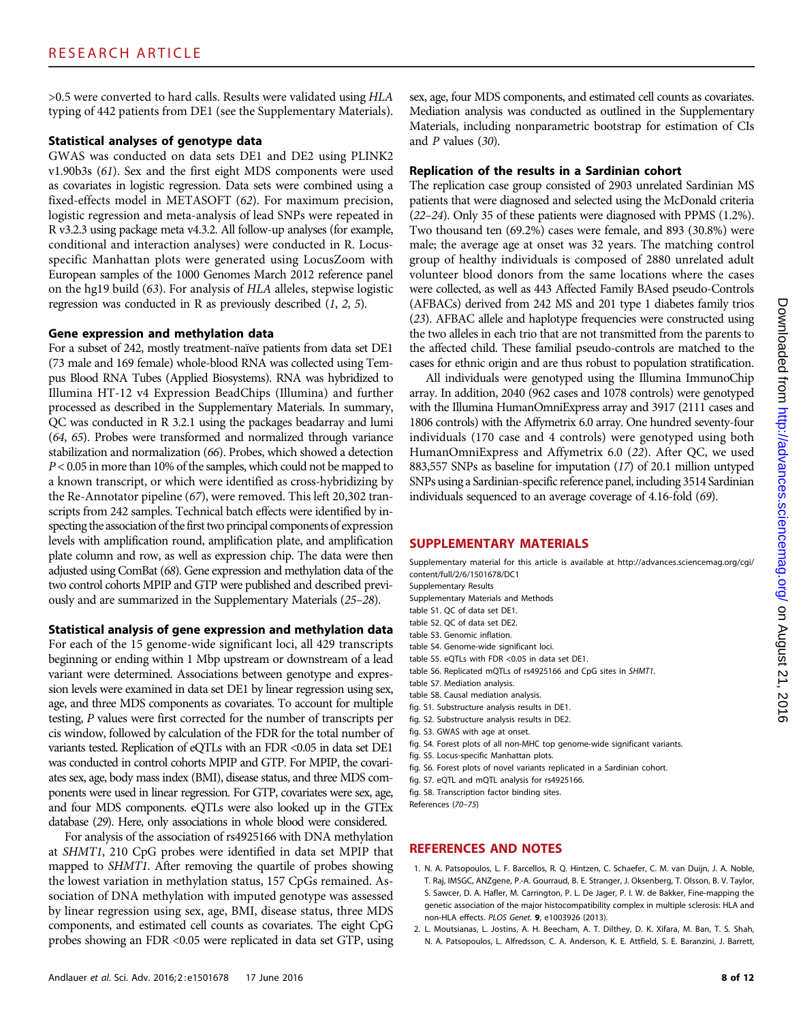>0.5 were converted to hard calls. Results were validated using HLA typing of 442 patients from DE1 (see the Supplementary Materials).

## Statistical analyses of genotype data

GWAS was conducted on data sets DE1 and DE2 using PLINK2 v1.90b3s (61). Sex and the first eight MDS components were used as covariates in logistic regression. Data sets were combined using a fixed-effects model in METASOFT (62). For maximum precision, logistic regression and meta-analysis of lead SNPs were repeated in R v3.2.3 using package meta v4.3.2. All follow-up analyses (for example, conditional and interaction analyses) were conducted in R. Locusspecific Manhattan plots were generated using LocusZoom with European samples of the 1000 Genomes March 2012 reference panel on the hg19 build (63). For analysis of HLA alleles, stepwise logistic regression was conducted in R as previously described (1, 2, 5).

#### Gene expression and methylation data

For a subset of 242, mostly treatment-naïve patients from data set DE1 (73 male and 169 female) whole-blood RNA was collected using Tempus Blood RNA Tubes (Applied Biosystems). RNA was hybridized to Illumina HT-12 v4 Expression BeadChips (Illumina) and further processed as described in the Supplementary Materials. In summary, QC was conducted in R 3.2.1 using the packages beadarray and lumi (64, 65). Probes were transformed and normalized through variance stabilization and normalization (66). Probes, which showed a detection P < 0.05 in more than 10% of the samples, which could not be mapped to a known transcript, or which were identified as cross-hybridizing by the Re-Annotator pipeline (67), were removed. This left 20,302 transcripts from 242 samples. Technical batch effects were identified by inspecting the association of the first two principal components of expression levels with amplification round, amplification plate, and amplification plate column and row, as well as expression chip. The data were then adjusted using ComBat (68). Gene expression and methylation data of the two control cohorts MPIP and GTP were published and described previously and are summarized in the Supplementary Materials (25–28).

## Statistical analysis of gene expression and methylation data

For each of the 15 genome-wide significant loci, all 429 transcripts beginning or ending within 1 Mbp upstream or downstream of a lead variant were determined. Associations between genotype and expression levels were examined in data set DE1 by linear regression using sex, age, and three MDS components as covariates. To account for multiple testing, P values were first corrected for the number of transcripts per cis window, followed by calculation of the FDR for the total number of variants tested. Replication of eQTLs with an FDR <0.05 in data set DE1 was conducted in control cohorts MPIP and GTP. For MPIP, the covariates sex, age, body mass index (BMI), disease status, and three MDS components were used in linear regression. For GTP, covariates were sex, age, and four MDS components. eQTLs were also looked up in the GTEx database (29). Here, only associations in whole blood were considered.

For analysis of the association of rs4925166 with DNA methylation at SHMT1, 210 CpG probes were identified in data set MPIP that mapped to SHMT1. After removing the quartile of probes showing the lowest variation in methylation status, 157 CpGs remained. Association of DNA methylation with imputed genotype was assessed by linear regression using sex, age, BMI, disease status, three MDS components, and estimated cell counts as covariates. The eight CpG probes showing an FDR <0.05 were replicated in data set GTP, using

sex, age, four MDS components, and estimated cell counts as covariates. Mediation analysis was conducted as outlined in the Supplementary Materials, including nonparametric bootstrap for estimation of CIs and P values (30).

#### Replication of the results in a Sardinian cohort

The replication case group consisted of 2903 unrelated Sardinian MS patients that were diagnosed and selected using the McDonald criteria (22–24). Only 35 of these patients were diagnosed with PPMS (1.2%). Two thousand ten (69.2%) cases were female, and 893 (30.8%) were male; the average age at onset was 32 years. The matching control group of healthy individuals is composed of 2880 unrelated adult volunteer blood donors from the same locations where the cases were collected, as well as 443 Affected Family BAsed pseudo-Controls (AFBACs) derived from 242 MS and 201 type 1 diabetes family trios (23). AFBAC allele and haplotype frequencies were constructed using the two alleles in each trio that are not transmitted from the parents to the affected child. These familial pseudo-controls are matched to the cases for ethnic origin and are thus robust to population stratification.

All individuals were genotyped using the Illumina ImmunoChip array. In addition, 2040 (962 cases and 1078 controls) were genotyped with the Illumina HumanOmniExpress array and 3917 (2111 cases and 1806 controls) with the Affymetrix 6.0 array. One hundred seventy-four individuals (170 case and 4 controls) were genotyped using both HumanOmniExpress and Affymetrix 6.0 (22). After QC, we used 883,557 SNPs as baseline for imputation (17) of 20.1 million untyped SNPs using a Sardinian-specific reference panel, including 3514 Sardinian individuals sequenced to an average coverage of 4.16-fold (69).

## SUPPLEMENTARY MATERIALS

Supplementary material for this article is available at [http://advances.sciencemag.org/cgi/](http://advances.sciencemag.org/cgi/content/full/2/6/1501678/DC1) [content/full/2/6/1501678/DC1](http://advances.sciencemag.org/cgi/content/full/2/6/1501678/DC1)

- Supplementary Results
- Supplementary Materials and Methods
- table S1. QC of data set DE1.
- table S2. QC of data set DE2. table S3. Genomic inflation.
- table S4. Genome-wide significant loci.
- 
- table S5. eQTLs with FDR <0.05 in data set DE1. table S6. Replicated mQTLs of rs4925166 and CpG sites in SHMT1.
- table S7. Mediation analysis.
- table S8. Causal mediation analysis.
- fig. S1. Substructure analysis results in DE1.
- fig. S2. Substructure analysis results in DE2.
- fig. S3. GWAS with age at onset.
- fig. S4. Forest plots of all non-MHC top genome-wide significant variants.
- fig. S5. Locus-specific Manhattan plots.
- fig. S6. Forest plots of novel variants replicated in a Sardinian cohort.
- fig. S7. eQTL and mQTL analysis for rs4925166.
- fig. S8. Transcription factor binding sites.

References (70–75)

#### REFERENCES AND NOTES

- 1. N. A. Patsopoulos, L. F. Barcellos, R. Q. Hintzen, C. Schaefer, C. M. van Duijn, J. A. Noble, T. Raj, IMSGC, ANZgene, P.-A. Gourraud, B. E. Stranger, J. Oksenberg, T. Olsson, B. V. Taylor, S. Sawcer, D. A. Hafler, M. Carrington, P. L. De Jager, P. I. W. de Bakker, Fine-mapping the genetic association of the major histocompatibility complex in multiple sclerosis: HLA and non-HLA effects. PLOS Genet. 9, e1003926 (2013).
- 2. L. Moutsianas, L. Jostins, A. H. Beecham, A. T. Dilthey, D. K. Xifara, M. Ban, T. S. Shah, N. A. Patsopoulos, L. Alfredsson, C. A. Anderson, K. E. Attfield, S. E. Baranzini, J. Barrett,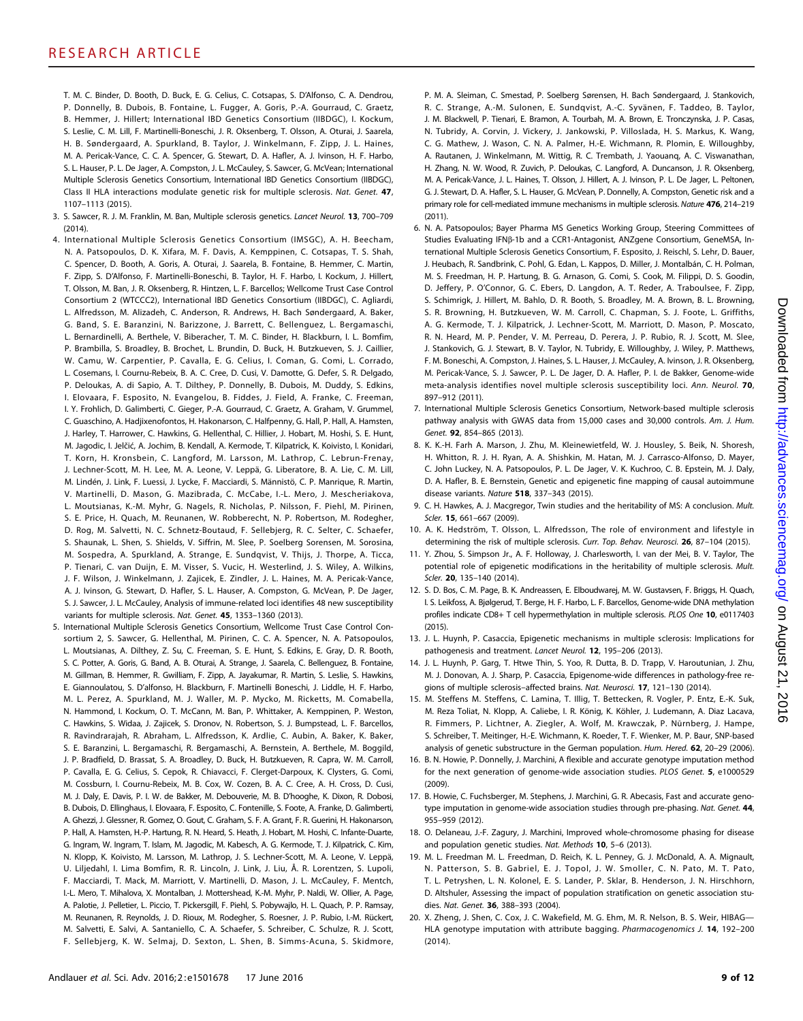- T. M. C. Binder, D. Booth, D. Buck, E. G. Celius, C. Cotsapas, S. D'Alfonso, C. A. Dendrou, P. Donnelly, B. Dubois, B. Fontaine, L. Fugger, A. Goris, P.-A. Gourraud, C. Graetz, B. Hemmer, J. Hillert; International IBD Genetics Consortium (IIBDGC), I. Kockum, S. Leslie, C. M. Lill, F. Martinelli-Boneschi, J. R. Oksenberg, T. Olsson, A. Oturai, J. Saarela, H. B. Søndergaard, A. Spurkland, B. Taylor, J. Winkelmann, F. Zipp, J. L. Haines, M. A. Pericak-Vance, C. C. A. Spencer, G. Stewart, D. A. Hafler, A. J. Ivinson, H. F. Harbo, S. L. Hauser, P. L. De Jager, A. Compston, J. L. McCauley, S. Sawcer, G. McVean; International Multiple Sclerosis Genetics Consortium, International IBD Genetics Consortium (IIBDGC), Class II HLA interactions modulate genetic risk for multiple sclerosis. Nat. Genet. 47, 1107–1113 (2015).
- 3. S. Sawcer, R. J. M. Franklin, M. Ban, Multiple sclerosis genetics. Lancet Neurol. 13, 700–709 (2014).
- 4. International Multiple Sclerosis Genetics Consortium (IMSGC), A. H. Beecham, N. A. Patsopoulos, D. K. Xifara, M. F. Davis, A. Kemppinen, C. Cotsapas, T. S. Shah, C. Spencer, D. Booth, A. Goris, A. Oturai, J. Saarela, B. Fontaine, B. Hemmer, C. Martin, F. Zipp, S. D'Alfonso, F. Martinelli-Boneschi, B. Taylor, H. F. Harbo, I. Kockum, J. Hillert, T. Olsson, M. Ban, J. R. Oksenberg, R. Hintzen, L. F. Barcellos; Wellcome Trust Case Control Consortium 2 (WTCCC2), International IBD Genetics Consortium (IIBDGC), C. Agliardi, L. Alfredsson, M. Alizadeh, C. Anderson, R. Andrews, H. Bach Søndergaard, A. Baker, G. Band, S. E. Baranzini, N. Barizzone, J. Barrett, C. Bellenguez, L. Bergamaschi, L. Bernardinelli, A. Berthele, V. Biberacher, T. M. C. Binder, H. Blackburn, I. L. Bomfim, P. Brambilla, S. Broadley, B. Brochet, L. Brundin, D. Buck, H. Butzkueven, S. J. Caillier, W. Camu, W. Carpentier, P. Cavalla, E. G. Celius, I. Coman, G. Comi, L. Corrado, L. Cosemans, I. Cournu-Rebeix, B. A. C. Cree, D. Cusi, V. Damotte, G. Defer, S. R. Delgado, P. Deloukas, A. di Sapio, A. T. Dilthey, P. Donnelly, B. Dubois, M. Duddy, S. Edkins, I. Elovaara, F. Esposito, N. Evangelou, B. Fiddes, J. Field, A. Franke, C. Freeman, I. Y. Frohlich, D. Galimberti, C. Gieger, P.-A. Gourraud, C. Graetz, A. Graham, V. Grummel, C. Guaschino, A. Hadjixenofontos, H. Hakonarson, C. Halfpenny, G. Hall, P. Hall, A. Hamsten, J. Harley, T. Harrower, C. Hawkins, G. Hellenthal, C. Hillier, J. Hobart, M. Hoshi, S. E. Hunt, M. Jagodic, I. Jelčić, A. Jochim, B. Kendall, A. Kermode, T. Kilpatrick, K. Koivisto, I. Konidari, T. Korn, H. Kronsbein, C. Langford, M. Larsson, M. Lathrop, C. Lebrun-Frenay, J. Lechner-Scott, M. H. Lee, M. A. Leone, V. Leppä, G. Liberatore, B. A. Lie, C. M. Lill, M. Lindén, J. Link, F. Luessi, J. Lycke, F. Macciardi, S. Männistö, C. P. Manrique, R. Martin, V. Martinelli, D. Mason, G. Mazibrada, C. McCabe, I.-L. Mero, J. Mescheriakova, L. Moutsianas, K.-M. Myhr, G. Nagels, R. Nicholas, P. Nilsson, F. Piehl, M. Pirinen, S. E. Price, H. Quach, M. Reunanen, W. Robberecht, N. P. Robertson, M. Rodegher, D. Rog, M. Salvetti, N. C. Schnetz-Boutaud, F. Sellebjerg, R. C. Selter, C. Schaefer, S. Shaunak, L. Shen, S. Shields, V. Siffrin, M. Slee, P. Soelberg Sorensen, M. Sorosina, M. Sospedra, A. Spurkland, A. Strange, E. Sundqvist, V. Thijs, J. Thorpe, A. Ticca, P. Tienari, C. van Duijn, E. M. Visser, S. Vucic, H. Westerlind, J. S. Wiley, A. Wilkins, J. F. Wilson, J. Winkelmann, J. Zajicek, E. Zindler, J. L. Haines, M. A. Pericak-Vance, A. J. Ivinson, G. Stewart, D. Hafler, S. L. Hauser, A. Compston, G. McVean, P. De Jager, S. J. Sawcer, J. L. McCauley, Analysis of immune-related loci identifies 48 new susceptibility variants for multiple sclerosis. Nat. Genet. 45, 1353–1360 (2013).
- 5. International Multiple Sclerosis Genetics Consortium, Wellcome Trust Case Control Consortium 2, S. Sawcer, G. Hellenthal, M. Pirinen, C. C. A. Spencer, N. A. Patsopoulos, L. Moutsianas, A. Dilthey, Z. Su, C. Freeman, S. E. Hunt, S. Edkins, E. Gray, D. R. Booth, S. C. Potter, A. Goris, G. Band, A. B. Oturai, A. Strange, J. Saarela, C. Bellenguez, B. Fontaine, M. Gillman, B. Hemmer, R. Gwilliam, F. Zipp, A. Jayakumar, R. Martin, S. Leslie, S. Hawkins, E. Giannoulatou, S. D'alfonso, H. Blackburn, F. Martinelli Boneschi, J. Liddle, H. F. Harbo, M. L. Perez, A. Spurkland, M. J. Waller, M. P. Mycko, M. Ricketts, M. Comabella, N. Hammond, I. Kockum, O. T. McCann, M. Ban, P. Whittaker, A. Kemppinen, P. Weston, C. Hawkins, S. Widaa, J. Zajicek, S. Dronov, N. Robertson, S. J. Bumpstead, L. F. Barcellos, R. Ravindrarajah, R. Abraham, L. Alfredsson, K. Ardlie, C. Aubin, A. Baker, K. Baker, S. E. Baranzini, L. Bergamaschi, R. Bergamaschi, A. Bernstein, A. Berthele, M. Boggild, J. P. Bradfield, D. Brassat, S. A. Broadley, D. Buck, H. Butzkueven, R. Capra, W. M. Carroll, P. Cavalla, E. G. Celius, S. Cepok, R. Chiavacci, F. Clerget-Darpoux, K. Clysters, G. Comi, M. Cossburn, I. Cournu-Rebeix, M. B. Cox, W. Cozen, B. A. C. Cree, A. H. Cross, D. Cusi, M. J. Daly, E. Davis, P. I. W. de Bakker, M. Debouverie, M. B. D'hooghe, K. Dixon, R. Dobosi, B. Dubois, D. Ellinghaus, I. Elovaara, F. Esposito, C. Fontenille, S. Foote, A. Franke, D. Galimberti, A. Ghezzi, J. Glessner, R. Gomez, O. Gout, C. Graham, S. F. A. Grant, F. R. Guerini, H. Hakonarson, P. Hall, A. Hamsten, H.-P. Hartung, R. N. Heard, S. Heath, J. Hobart, M. Hoshi, C. Infante-Duarte, G. Ingram, W. Ingram, T. Islam, M. Jagodic, M. Kabesch, A. G. Kermode, T. J. Kilpatrick, C. Kim, N. Klopp, K. Koivisto, M. Larsson, M. Lathrop, J. S. Lechner-Scott, M. A. Leone, V. Leppä, U. Liljedahl, I. Lima Bomfim, R. R. Lincoln, J. Link, J. Liu, Å. R. Lorentzen, S. Lupoli, F. Macciardi, T. Mack, M. Marriott, V. Martinelli, D. Mason, J. L. McCauley, F. Mentch, I.-L. Mero, T. Mihalova, X. Montalban, J. Mottershead, K.-M. Myhr, P. Naldi, W. Ollier, A. Page, A. Palotie, J. Pelletier, L. Piccio, T. Pickersgill, F. Piehl, S. Pobywajlo, H. L. Quach, P. P. Ramsay, M. Reunanen, R. Reynolds, J. D. Rioux, M. Rodegher, S. Roesner, J. P. Rubio, I.-M. Rückert, M. Salvetti, E. Salvi, A. Santaniello, C. A. Schaefer, S. Schreiber, C. Schulze, R. J. Scott, F. Sellebjerg, K. W. Selmaj, D. Sexton, L. Shen, B. Simms-Acuna, S. Skidmore,

P. M. A. Sleiman, C. Smestad, P. Soelberg Sørensen, H. Bach Søndergaard, J. Stankovich, R. C. Strange, A.-M. Sulonen, E. Sundqvist, A.-C. Syvänen, F. Taddeo, B. Taylor, J. M. Blackwell, P. Tienari, E. Bramon, A. Tourbah, M. A. Brown, E. Tronczynska, J. P. Casas, N. Tubridy, A. Corvin, J. Vickery, J. Jankowski, P. Villoslada, H. S. Markus, K. Wang, C. G. Mathew, J. Wason, C. N. A. Palmer, H.-E. Wichmann, R. Plomin, E. Willoughby, A. Rautanen, J. Winkelmann, M. Wittig, R. C. Trembath, J. Yaouanq, A. C. Viswanathan, H. Zhang, N. W. Wood, R. Zuvich, P. Deloukas, C. Langford, A. Duncanson, J. R. Oksenberg, M. A. Pericak-Vance, J. L. Haines, T. Olsson, J. Hillert, A. J. Ivinson, P. L. De Jager, L. Peltonen, G. J. Stewart, D. A. Hafler, S. L. Hauser, G. McVean, P. Donnelly, A. Compston, Genetic risk and a primary role for cell-mediated immune mechanisms in multiple sclerosis. Nature 476, 214-219  $(2011)$ 

- 6. N. A. Patsopoulos; Bayer Pharma MS Genetics Working Group, Steering Committees of Studies Evaluating IFNß-1b and a CCR1-Antagonist, ANZgene Consortium, GeneMSA, International Multiple Sclerosis Genetics Consortium, F. Esposito, J. Reischl, S. Lehr, D. Bauer, J. Heubach, R. Sandbrink, C. Pohl, G. Edan, L. Kappos, D. Miller, J. Montalbán, C. H. Polman, M. S. Freedman, H. P. Hartung, B. G. Arnason, G. Comi, S. Cook, M. Filippi, D. S. Goodin, D. Jeffery, P. O'Connor, G. C. Ebers, D. Langdon, A. T. Reder, A. Traboulsee, F. Zipp, S. Schimrigk, J. Hillert, M. Bahlo, D. R. Booth, S. Broadley, M. A. Brown, B. L. Browning, S. R. Browning, H. Butzkueven, W. M. Carroll, C. Chapman, S. J. Foote, L. Griffiths, A. G. Kermode, T. J. Kilpatrick, J. Lechner-Scott, M. Marriott, D. Mason, P. Moscato, R. N. Heard, M. P. Pender, V. M. Perreau, D. Perera, J. P. Rubio, R. J. Scott, M. Slee, J. Stankovich, G. J. Stewart, B. V. Taylor, N. Tubridy, E. Willoughby, J. Wiley, P. Matthews, F. M. Boneschi, A. Compston, J. Haines, S. L. Hauser, J. McCauley, A. Ivinson, J. R. Oksenberg, M. Pericak-Vance, S. J. Sawcer, P. L. De Jager, D. A. Hafler, P. I. de Bakker, Genome-wide meta-analysis identifies novel multiple sclerosis susceptibility loci. Ann. Neurol. 70, 897–912 (2011).
- 7. International Multiple Sclerosis Genetics Consortium, Network-based multiple sclerosis pathway analysis with GWAS data from 15,000 cases and 30,000 controls. Am. J. Hum. Genet. 92, 854–865 (2013).
- 8. K. K.-H. Farh A. Marson, J. Zhu, M. Kleinewietfeld, W. J. Housley, S. Beik, N. Shoresh, H. Whitton, R. J. H. Ryan, A. A. Shishkin, M. Hatan, M. J. Carrasco-Alfonso, D. Mayer, C. John Luckey, N. A. Patsopoulos, P. L. De Jager, V. K. Kuchroo, C. B. Epstein, M. J. Daly, D. A. Hafler, B. E. Bernstein, Genetic and epigenetic fine mapping of causal autoimmune disease variants. Nature 518, 337–343 (2015).
- 9. C. H. Hawkes, A. J. Macgregor, Twin studies and the heritability of MS: A conclusion. Mult. Scler. **15**, 661-667 (2009).
- 10. A. K. Hedström, T. Olsson, L. Alfredsson, The role of environment and lifestyle in determining the risk of multiple sclerosis. Curr. Top. Behav. Neurosci. 26, 87–104 (2015).
- 11. Y. Zhou, S. Simpson Jr., A. F. Holloway, J. Charlesworth, I. van der Mei, B. V. Taylor, The potential role of epigenetic modifications in the heritability of multiple sclerosis. Mult. Scler. 20, 135-140 (2014).
- 12. S. D. Bos, C. M. Page, B. K. Andreassen, E. Elboudwarej, M. W. Gustavsen, F. Briggs, H. Quach, I. S. Leikfoss, A. Bjølgerud, T. Berge, H. F. Harbo, L. F. Barcellos, Genome-wide DNA methylation profiles indicate CD8+ T cell hypermethylation in multiple sclerosis. PLOS One 10, e0117403 (2015).
- 13. J. L. Huynh, P. Casaccia, Epigenetic mechanisms in multiple sclerosis: Implications for pathogenesis and treatment. Lancet Neurol. 12, 195–206 (2013).
- 14. J. L. Huynh, P. Garg, T. Htwe Thin, S. Yoo, R. Dutta, B. D. Trapp, V. Haroutunian, J. Zhu, M. J. Donovan, A. J. Sharp, P. Casaccia, Epigenome-wide differences in pathology-free regions of multiple sclerosis-affected brains. Nat. Neurosci. 17, 121-130 (2014).
- 15. M. Steffens M. Steffens, C. Lamina, T. Illig, T. Bettecken, R. Vogler, P. Entz, E.-K. Suk, M. Reza Toliat, N. Klopp, A. Caliebe, I. R. König, K. Köhler, J. Ludemann, A. Diaz Lacava, R. Fimmers, P. Lichtner, A. Ziegler, A. Wolf, M. Krawczak, P. Nūrnberg, J. Hampe, S. Schreiber, T. Meitinger, H.-E. Wichmann, K. Roeder, T. F. Wienker, M. P. Baur, SNP-based analysis of genetic substructure in the German population. Hum. Hered. 62, 20-29 (2006).
- 16. B. N. Howie, P. Donnelly, J. Marchini, A flexible and accurate genotype imputation method for the next generation of genome-wide association studies. PLOS Genet. 5, e1000529 (2009).
- 17. B. Howie, C. Fuchsberger, M. Stephens, J. Marchini, G. R. Abecasis, Fast and accurate genotype imputation in genome-wide association studies through pre-phasing. Nat. Genet. 44, 955–959 (2012).
- 18. O. Delaneau, J.-F. Zagury, J. Marchini, Improved whole-chromosome phasing for disease and population genetic studies. Nat. Methods 10, 5–6 (2013).
- 19. M. L. Freedman M. L. Freedman, D. Reich, K. L. Penney, G. J. McDonald, A. A. Mignault, N. Patterson, S. B. Gabriel, E. J. Topol, J. W. Smoller, C. N. Pato, M. T. Pato, T. L. Petryshen, L. N. Kolonel, E. S. Lander, P. Sklar, B. Henderson, J. N. Hirschhorn, D. Altshuler, Assessing the impact of population stratification on genetic association studies. Nat. Genet. 36, 388–393 (2004).
- 20. X. Zheng, J. Shen, C. Cox, J. C. Wakefield, M. G. Ehm, M. R. Nelson, B. S. Weir, HIBAG— HLA genotype imputation with attribute bagging. Pharmacogenomics J. 14, 192-200 (2014).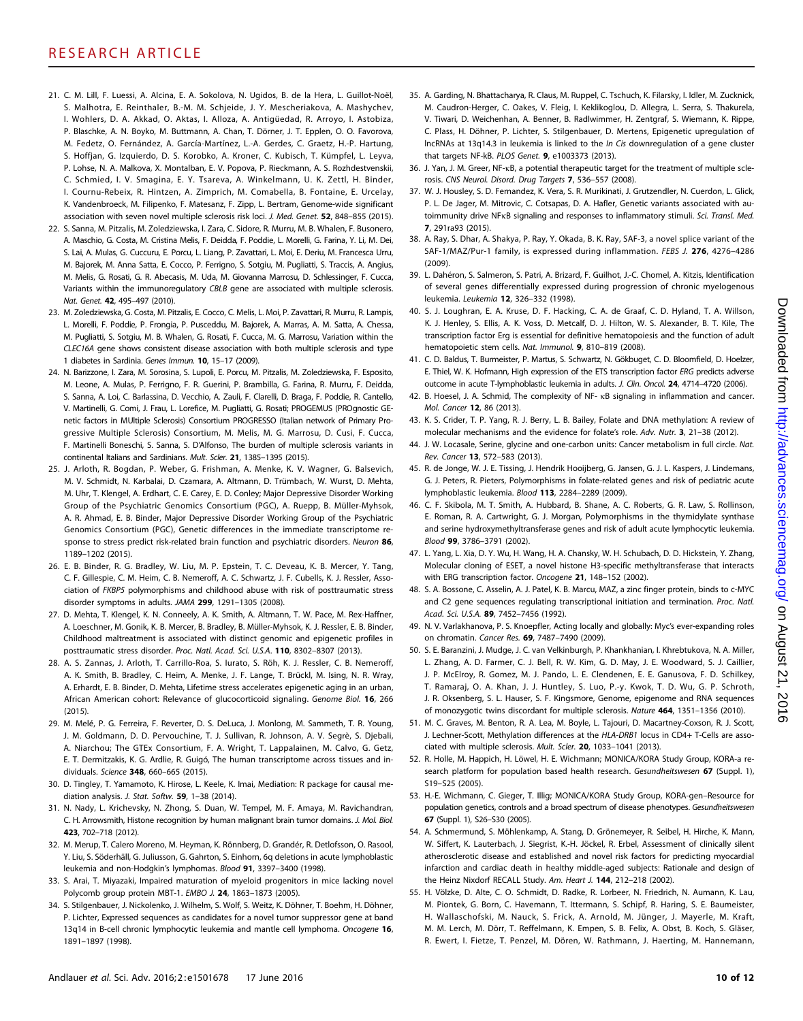- 21. C. M. Lill, F. Luessi, A. Alcina, E. A. Sokolova, N. Ugidos, B. de la Hera, L. Guillot-Noël, S. Malhotra, E. Reinthaler, B.-M. M. Schjeide, J. Y. Mescheriakova, A. Mashychev, I. Wohlers, D. A. Akkad, O. Aktas, I. Alloza, A. Antigüedad, R. Arroyo, I. Astobiza, P. Blaschke, A. N. Boyko, M. Buttmann, A. Chan, T. Dörner, J. T. Epplen, O. O. Favorova, M. Fedetz, O. Fernández, A. García-Martínez, L.-A. Gerdes, C. Graetz, H.-P. Hartung, S. Hoffjan, G. Izquierdo, D. S. Korobko, A. Kroner, C. Kubisch, T. Kümpfel, L. Leyva, P. Lohse, N. A. Malkova, X. Montalban, E. V. Popova, P. Rieckmann, A. S. Rozhdestvenskii, C. Schmied, I. V. Smagina, E. Y. Tsareva, A. Winkelmann, U. K. Zettl, H. Binder, I. Cournu-Rebeix, R. Hintzen, A. Zimprich, M. Comabella, B. Fontaine, E. Urcelay,
	- K. Vandenbroeck, M. Filipenko, F. Matesanz, F. Zipp, L. Bertram, Genome-wide significant association with seven novel multiple sclerosis risk loci. J. Med. Genet. 52, 848–855 (2015).
- 22. S. Sanna, M. Pitzalis, M. Zoledziewska, I. Zara, C. Sidore, R. Murru, M. B. Whalen, F. Busonero, A. Maschio, G. Costa, M. Cristina Melis, F. Deidda, F. Poddie, L. Morelli, G. Farina, Y. Li, M. Dei, S. Lai, A. Mulas, G. Cuccuru, E. Porcu, L. Liang, P. Zavattari, L. Moi, E. Deriu, M. Francesca Urru, M. Bajorek, M. Anna Satta, E. Cocco, P. Ferrigno, S. Sotgiu, M. Pugliatti, S. Traccis, A. Angius, M. Melis, G. Rosati, G. R. Abecasis, M. Uda, M. Giovanna Marrosu, D. Schlessinger, F. Cucca, Variants within the immunoregulatory CBLB gene are associated with multiple sclerosis. Nat. Genet. **42**, 495–497 (2010).
- 23. M. Zoledziewska, G. Costa, M. Pitzalis, E. Cocco, C. Melis, L. Moi, P. Zavattari, R. Murru, R. Lampis, L. Morelli, F. Poddie, P. Frongia, P. Pusceddu, M. Bajorek, A. Marras, A. M. Satta, A. Chessa, M. Pugliatti, S. Sotgiu, M. B. Whalen, G. Rosati, F. Cucca, M. G. Marrosu, Variation within the CLEC16A gene shows consistent disease association with both multiple sclerosis and type 1 diabetes in Sardinia. Genes Immun. 10, 15–17 (2009).
- 24. N. Barizzone, I. Zara, M. Sorosina, S. Lupoli, E. Porcu, M. Pitzalis, M. Zoledziewska, F. Esposito, M. Leone, A. Mulas, P. Ferrigno, F. R. Guerini, P. Brambilla, G. Farina, R. Murru, F. Deidda, S. Sanna, A. Loi, C. Barlassina, D. Vecchio, A. Zauli, F. Clarelli, D. Braga, F. Poddie, R. Cantello, V. Martinelli, G. Comi, J. Frau, L. Lorefice, M. Pugliatti, G. Rosati; PROGEMUS (PROgnostic GEnetic factors in MUltiple Sclerosis) Consortium PROGRESSO (Italian network of Primary Progressive Multiple Sclerosis) Consortium, M. Melis, M. G. Marrosu, D. Cusi, F. Cucca, F. Martinelli Boneschi, S. Sanna, S. D'Alfonso, The burden of multiple sclerosis variants in continental Italians and Sardinians. Mult. Scler. 21, 1385–1395 (2015).
- 25. J. Arloth, R. Bogdan, P. Weber, G. Frishman, A. Menke, K. V. Wagner, G. Balsevich, M. V. Schmidt, N. Karbalai, D. Czamara, A. Altmann, D. Trümbach, W. Wurst, D. Mehta, M. Uhr, T. Klengel, A. Erdhart, C. E. Carey, E. D. Conley; Major Depressive Disorder Working Group of the Psychiatric Genomics Consortium (PGC), A. Ruepp, B. Müller-Myhsok, A. R. Ahmad, E. B. Binder, Major Depressive Disorder Working Group of the Psychiatric Genomics Consortium (PGC), Genetic differences in the immediate transcriptome response to stress predict risk-related brain function and psychiatric disorders. Neuron 86, 1189–1202 (2015).
- 26. E. B. Binder, R. G. Bradley, W. Liu, M. P. Epstein, T. C. Deveau, K. B. Mercer, Y. Tang, C. F. Gillespie, C. M. Heim, C. B. Nemeroff, A. C. Schwartz, J. F. Cubells, K. J. Ressler, Association of FKBP5 polymorphisms and childhood abuse with risk of posttraumatic stress disorder symptoms in adults. JAMA 299, 1291–1305 (2008).
- 27. D. Mehta, T. Klengel, K. N. Conneely, A. K. Smith, A. Altmann, T. W. Pace, M. Rex-Haffner, A. Loeschner, M. Gonik, K. B. Mercer, B. Bradley, B. Müller-Myhsok, K. J. Ressler, E. B. Binder, Childhood maltreatment is associated with distinct genomic and epigenetic profiles in posttraumatic stress disorder. Proc. Natl. Acad. Sci. U.S.A. 110, 8302–8307 (2013).
- 28. A. S. Zannas, J. Arloth, T. Carrillo-Roa, S. Iurato, S. Röh, K. J. Ressler, C. B. Nemeroff, A. K. Smith, B. Bradley, C. Heim, A. Menke, J. F. Lange, T. Brückl, M. Ising, N. R. Wray, A. Erhardt, E. B. Binder, D. Mehta, Lifetime stress accelerates epigenetic aging in an urban, African American cohort: Relevance of glucocorticoid signaling. Genome Biol. 16, 266 (2015).
- 29. M. Melé, P. G. Ferreira, F. Reverter, D. S. DeLuca, J. Monlong, M. Sammeth, T. R. Young, J. M. Goldmann, D. D. Pervouchine, T. J. Sullivan, R. Johnson, A. V. Segrè, S. Djebali, A. Niarchou; The GTEx Consortium, F. A. Wright, T. Lappalainen, M. Calvo, G. Getz, E. T. Dermitzakis, K. G. Ardlie, R. Guigó, The human transcriptome across tissues and individuals. Science 348, 660-665 (2015).
- 30. D. Tingley, T. Yamamoto, K. Hirose, L. Keele, K. Imai, Mediation: R package for causal mediation analysis. J. Stat. Softw. 59, 1-38 (2014).
- 31. N. Nady, L. Krichevsky, N. Zhong, S. Duan, W. Tempel, M. F. Amaya, M. Ravichandran, C. H. Arrowsmith, Histone recognition by human malignant brain tumor domains. J. Mol. Biol. 423, 702–718 (2012).
- 32. M. Merup, T. Calero Moreno, M. Heyman, K. Rönnberg, D. Grandér, R. Detlofsson, O. Rasool, Y. Liu, S. Söderhäll, G. Juliusson, G. Gahrton, S. Einhorn, 6q deletions in acute lymphoblastic leukemia and non-Hodgkin's lymphomas. Blood 91, 3397–3400 (1998).
- 33. S. Arai, T. Miyazaki, Impaired maturation of myeloid progenitors in mice lacking novel Polycomb group protein MBT-1. EMBO J. 24, 1863-1873 (2005).
- 34. S. Stilgenbauer, J. Nickolenko, J. Wilhelm, S. Wolf, S. Weitz, K. Döhner, T. Boehm, H. Döhner, P. Lichter, Expressed sequences as candidates for a novel tumor suppressor gene at band 13q14 in B-cell chronic lymphocytic leukemia and mantle cell lymphoma. Oncogene 16, 1891–1897 (1998).
- 35. A. Garding, N. Bhattacharya, R. Claus, M. Ruppel, C. Tschuch, K. Filarsky, I. Idler, M. Zucknick, M. Caudron-Herger, C. Oakes, V. Fleig, I. Keklikoglou, D. Allegra, L. Serra, S. Thakurela, V. Tiwari, D. Weichenhan, A. Benner, B. Radlwimmer, H. Zentgraf, S. Wiemann, K. Rippe, C. Plass, H. Döhner, P. Lichter, S. Stilgenbauer, D. Mertens, Epigenetic upregulation of lncRNAs at 13q14.3 in leukemia is linked to the In Cis downregulation of a gene cluster that targets NF-kB. PLOS Genet. 9, e1003373 (2013).
- 36. J. Yan, J. M. Greer, NF-kB, a potential therapeutic target for the treatment of multiple sclerosis. CNS Neurol. Disord. Drug Targets 7, 536–557 (2008).
- 37. W. J. Housley, S. D. Fernandez, K. Vera, S. R. Murikinati, J. Grutzendler, N. Cuerdon, L. Glick, P. L. De Jager, M. Mitrovic, C. Cotsapas, D. A. Hafler, Genetic variants associated with autoimmunity drive NFkB signaling and responses to inflammatory stimuli. Sci. Transl. Med. 7, 291ra93 (2015).
- 38. A. Ray, S. Dhar, A. Shakya, P. Ray, Y. Okada, B. K. Ray, SAF-3, a novel splice variant of the SAF-1/MAZ/Pur-1 family, is expressed during inflammation. FEBS J. 276, 4276-4286 (2009).
- 39. L. Dahéron, S. Salmeron, S. Patri, A. Brizard, F. Guilhot, J.-C. Chomel, A. Kitzis, Identification of several genes differentially expressed during progression of chronic myelogenous leukemia. Leukemia 12, 326–332 (1998).
- 40. S. J. Loughran, E. A. Kruse, D. F. Hacking, C. A. de Graaf, C. D. Hyland, T. A. Willson, K. J. Henley, S. Ellis, A. K. Voss, D. Metcalf, D. J. Hilton, W. S. Alexander, B. T. Kile, The transcription factor Erg is essential for definitive hematopoiesis and the function of adult hematopoietic stem cells. Nat. Immunol. 9, 810–819 (2008).
- 41. C. D. Baldus, T. Burmeister, P. Martus, S. Schwartz, N. Gökbuget, C. D. Bloomfield, D. Hoelzer, E. Thiel, W. K. Hofmann, High expression of the ETS transcription factor ERG predicts adverse outcome in acute T-lymphoblastic leukemia in adults. J. Clin. Oncol. 24, 4714–4720 (2006).
- 42. B. Hoesel, J. A. Schmid, The complexity of NF- kB signaling in inflammation and cancer. Mol. Cancer 12, 86 (2013).
- 43. K. S. Crider, T. P. Yang, R. J. Berry, L. B. Bailey, Folate and DNA methylation: A review of molecular mechanisms and the evidence for folate's role. Adv. Nutr. 3, 21–38 (2012).
- 44. J. W. Locasale, Serine, glycine and one-carbon units: Cancer metabolism in full circle. Nat. Rev. Cancer 13, 572–583 (2013).
- 45. R. de Jonge, W. J. E. Tissing, J. Hendrik Hooijberg, G. Jansen, G. J. L. Kaspers, J. Lindemans, G. J. Peters, R. Pieters, Polymorphisms in folate-related genes and risk of pediatric acute lymphoblastic leukemia. Blood 113, 2284–2289 (2009).
- 46. C. F. Skibola, M. T. Smith, A. Hubbard, B. Shane, A. C. Roberts, G. R. Law, S. Rollinson, E. Roman, R. A. Cartwright, G. J. Morgan, Polymorphisms in the thymidylate synthase and serine hydroxymethyltransferase genes and risk of adult acute lymphocytic leukemia. Blood 99, 3786–3791 (2002).
- 47. L. Yang, L. Xia, D. Y. Wu, H. Wang, H. A. Chansky, W. H. Schubach, D. D. Hickstein, Y. Zhang, Molecular cloning of ESET, a novel histone H3-specific methyltransferase that interacts with ERG transcription factor. Oncogene 21, 148–152 (2002).
- 48. S. A. Bossone, C. Asselin, A. J. Patel, K. B. Marcu, MAZ, a zinc finger protein, binds to c-MYC and C2 gene sequences regulating transcriptional initiation and termination. Proc. Natl. Acad. Sci. U.S.A. 89, 7452–7456 (1992).
- 49. N. V. Varlakhanova, P. S. Knoepfler, Acting locally and globally: Myc's ever-expanding roles on chromatin. Cancer Res. 69, 7487–7490 (2009).
- 50. S. E. Baranzini, J. Mudge, J. C. van Velkinburgh, P. Khankhanian, I. Khrebtukova, N. A. Miller, L. Zhang, A. D. Farmer, C. J. Bell, R. W. Kim, G. D. May, J. E. Woodward, S. J. Caillier, J. P. McElroy, R. Gomez, M. J. Pando, L. E. Clendenen, E. E. Ganusova, F. D. Schilkey, T. Ramaraj, O. A. Khan, J. J. Huntley, S. Luo, P.-y. Kwok, T. D. Wu, G. P. Schroth, J. R. Oksenberg, S. L. Hauser, S. F. Kingsmore, Genome, epigenome and RNA sequences of monozygotic twins discordant for multiple sclerosis. Nature 464, 1351–1356 (2010).
- 51. M. C. Graves, M. Benton, R. A. Lea, M. Boyle, L. Tajouri, D. Macartney-Coxson, R. J. Scott, J. Lechner-Scott, Methylation differences at the HLA-DRB1 locus in CD4+ T-Cells are associated with multiple sclerosis. Mult. Scler. 20, 1033–1041 (2013).
- 52. R. Holle, M. Happich, H. Löwel, H. E. Wichmann; MONICA/KORA Study Group, KORA-a research platform for population based health research. Gesundheitswesen 67 (Suppl. 1), S19–S25 (2005).
- 53. H.-E. Wichmann, C. Gieger, T. Illig; MONICA/KORA Study Group, KORA-gen–Resource for population genetics, controls and a broad spectrum of disease phenotypes. Gesundheitswesen 67 (Suppl. 1), S26–S30 (2005).
- 54. A. Schmermund, S. Möhlenkamp, A. Stang, D. Grönemeyer, R. Seibel, H. Hirche, K. Mann, W. Siffert, K. Lauterbach, J. Siegrist, K.-H. Jöckel, R. Erbel, Assessment of clinically silent atherosclerotic disease and established and novel risk factors for predicting myocardial infarction and cardiac death in healthy middle-aged subjects: Rationale and design of the Heinz Nixdorf RECALL Study. Am. Heart J. 144, 212-218 (2002).
- 55. H. Völzke, D. Alte, C. O. Schmidt, D. Radke, R. Lorbeer, N. Friedrich, N. Aumann, K. Lau, M. Piontek, G. Born, C. Havemann, T. Ittermann, S. Schipf, R. Haring, S. E. Baumeister, H. Wallaschofski, M. Nauck, S. Frick, A. Arnold, M. Jünger, J. Mayerle, M. Kraft, M. M. Lerch, M. Dörr, T. Reffelmann, K. Empen, S. B. Felix, A. Obst, B. Koch, S. Gläser, R. Ewert, I. Fietze, T. Penzel, M. Dören, W. Rathmann, J. Haerting, M. Hannemann,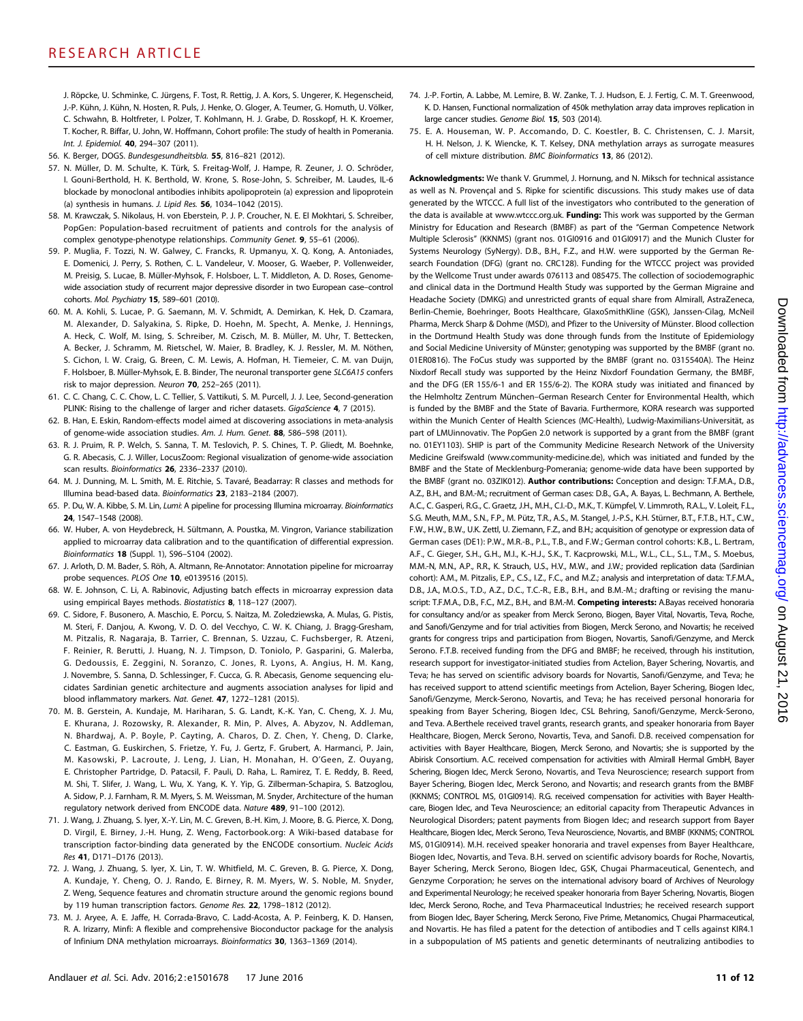J. Röpcke, U. Schminke, C. Jürgens, F. Tost, R. Rettig, J. A. Kors, S. Ungerer, K. Hegenscheid, J.-P. Kühn, J. Kühn, N. Hosten, R. Puls, J. Henke, O. Gloger, A. Teumer, G. Homuth, U. Völker, C. Schwahn, B. Holtfreter, I. Polzer, T. Kohlmann, H. J. Grabe, D. Rosskopf, H. K. Kroemer, T. Kocher, R. Biffar, U. John, W. Hoffmann, Cohort profile: The study of health in Pomerania. Int. J. Epidemiol. 40, 294-307 (2011).

- 56. K. Berger, DOGS. Bundesgesundheitsbla. 55, 816–821 (2012).
- 57. N. Müller, D. M. Schulte, K. Türk, S. Freitag-Wolf, J. Hampe, R. Zeuner, J. O. Schröder, I. Gouni-Berthold, H. K. Berthold, W. Krone, S. Rose-John, S. Schreiber, M. Laudes, IL-6 blockade by monoclonal antibodies inhibits apolipoprotein (a) expression and lipoprotein (a) synthesis in humans. J. Lipid Res. 56, 1034–1042 (2015).
- 58. M. Krawczak, S. Nikolaus, H. von Eberstein, P. J. P. Croucher, N. E. El Mokhtari, S. Schreiber, PopGen: Population-based recruitment of patients and controls for the analysis of complex genotype-phenotype relationships. Community Genet. 9, 55–61 (2006).
- 59. P. Muglia, F. Tozzi, N. W. Galwey, C. Francks, R. Upmanyu, X. Q. Kong, A. Antoniades, E. Domenici, J. Perry, S. Rothen, C. L. Vandeleur, V. Mooser, G. Waeber, P. Vollenweider, M. Preisig, S. Lucae, B. Müller-Myhsok, F. Holsboer, L. T. Middleton, A. D. Roses, Genomewide association study of recurrent major depressive disorder in two European case–control cohorts. Mol. Psychiatry 15, 589–601 (2010).
- 60. M. A. Kohli, S. Lucae, P. G. Saemann, M. V. Schmidt, A. Demirkan, K. Hek, D. Czamara, M. Alexander, D. Salyakina, S. Ripke, D. Hoehn, M. Specht, A. Menke, J. Hennings, A. Heck, C. Wolf, M. Ising, S. Schreiber, M. Czisch, M. B. Müller, M. Uhr, T. Bettecken, A. Becker, J. Schramm, M. Rietschel, W. Maier, B. Bradley, K. J. Ressler, M. M. Nöthen, S. Cichon, I. W. Craig, G. Breen, C. M. Lewis, A. Hofman, H. Tiemeier, C. M. van Duijn, F. Holsboer, B. Müller-Myhsok, E. B. Binder, The neuronal transporter gene SLC6A15 confers risk to major depression. Neuron 70, 252–265 (2011).
- 61. C. C. Chang, C. C. Chow, L. C. Tellier, S. Vattikuti, S. M. Purcell, J. J. Lee, Second-generation PLINK: Rising to the challenge of larger and richer datasets. GigaScience 4, 7 (2015).
- 62. B. Han, E. Eskin, Random-effects model aimed at discovering associations in meta-analysis of genome-wide association studies. Am. J. Hum. Genet. 88, 586–598 (2011).
- 63. R. J. Pruim, R. P. Welch, S. Sanna, T. M. Teslovich, P. S. Chines, T. P. Gliedt, M. Boehnke, G. R. Abecasis, C. J. Willer, LocusZoom: Regional visualization of genome-wide association scan results. Bioinformatics 26, 2336-2337 (2010).
- 64. M. J. Dunning, M. L. Smith, M. E. Ritchie, S. Tavaré, Beadarray: R classes and methods for Illumina bead-based data. Bioinformatics 23, 2183–2184 (2007).
- 65. P. Du, W. A. Kibbe, S. M. Lin, Lumi: A pipeline for processing Illumina microarray. Bioinformatics 24, 1547–1548 (2008).
- 66. W. Huber, A. von Heydebreck, H. Sültmann, A. Poustka, M. Vingron, Variance stabilization applied to microarray data calibration and to the quantification of differential expression. Bioinformatics 18 (Suppl. 1), S96–S104 (2002).
- 67. J. Arloth, D. M. Bader, S. Röh, A. Altmann, Re-Annotator: Annotation pipeline for microarray probe sequences. PLOS One 10, e0139516 (2015).
- 68. W. E. Johnson, C. Li, A. Rabinovic, Adjusting batch effects in microarray expression data using empirical Bayes methods. Biostatistics 8, 118–127 (2007).
- 69. C. Sidore, F. Busonero, A. Maschio, E. Porcu, S. Naitza, M. Zoledziewska, A. Mulas, G. Pistis, M. Steri, F. Danjou, A. Kwong, V. D. O. del Vecchyo, C. W. K. Chiang, J. Bragg-Gresham, M. Pitzalis, R. Nagaraja, B. Tarrier, C. Brennan, S. Uzzau, C. Fuchsberger, R. Atzeni, F. Reinier, R. Berutti, J. Huang, N. J. Timpson, D. Toniolo, P. Gasparini, G. Malerba, G. Dedoussis, E. Zeggini, N. Soranzo, C. Jones, R. Lyons, A. Angius, H. M. Kang, J. Novembre, S. Sanna, D. Schlessinger, F. Cucca, G. R. Abecasis, Genome sequencing elucidates Sardinian genetic architecture and augments association analyses for lipid and blood inflammatory markers. Nat. Genet. 47, 1272–1281 (2015).
- 70. M. B. Gerstein, A. Kundaje, M. Hariharan, S. G. Landt, K.-K. Yan, C. Cheng, X. J. Mu, E. Khurana, J. Rozowsky, R. Alexander, R. Min, P. Alves, A. Abyzov, N. Addleman, N. Bhardwaj, A. P. Boyle, P. Cayting, A. Charos, D. Z. Chen, Y. Cheng, D. Clarke, C. Eastman, G. Euskirchen, S. Frietze, Y. Fu, J. Gertz, F. Grubert, A. Harmanci, P. Jain, M. Kasowski, P. Lacroute, J. Leng, J. Lian, H. Monahan, H. O'Geen, Z. Ouyang, E. Christopher Partridge, D. Patacsil, F. Pauli, D. Raha, L. Ramirez, T. E. Reddy, B. Reed, M. Shi, T. Slifer, J. Wang, L. Wu, X. Yang, K. Y. Yip, G. Zilberman-Schapira, S. Batzoglou, A. Sidow, P. J. Farnham, R. M. Myers, S. M. Weissman, M. Snyder, Architecture of the human regulatory network derived from ENCODE data. Nature 489, 91–100 (2012).
- 71. J. Wang, J. Zhuang, S. Iyer, X.-Y. Lin, M. C. Greven, B.-H. Kim, J. Moore, B. G. Pierce, X. Dong, D. Virgil, E. Birney, J.-H. Hung, Z. Weng, Factorbook.org: A Wiki-based database for transcription factor-binding data generated by the ENCODE consortium. Nucleic Acids Res 41, D171–D176 (2013).
- 72. J. Wang, J. Zhuang, S. Iyer, X. Lin, T. W. Whitfield, M. C. Greven, B. G. Pierce, X. Dong, A. Kundaje, Y. Cheng, O. J. Rando, E. Birney, R. M. Myers, W. S. Noble, M. Snyder, Z. Weng, Sequence features and chromatin structure around the genomic regions bound by 119 human transcription factors. Genome Res. 22, 1798-1812 (2012).
- 73. M. J. Aryee, A. E. Jaffe, H. Corrada-Bravo, C. Ladd-Acosta, A. P. Feinberg, K. D. Hansen, R. A. Irizarry, Minfi: A flexible and comprehensive Bioconductor package for the analysis of Infinium DNA methylation microarrays. Bioinformatics 30, 1363-1369 (2014).
- 74. J.-P. Fortin, A. Labbe, M. Lemire, B. W. Zanke, T. J. Hudson, E. J. Fertig, C. M. T. Greenwood, K. D. Hansen, Functional normalization of 450k methylation array data improves replication in large cancer studies. Genome Biol. 15, 503 (2014).
- 75. E. A. Houseman, W. P. Accomando, D. C. Koestler, B. C. Christensen, C. J. Marsit, H. H. Nelson, J. K. Wiencke, K. T. Kelsey, DNA methylation arrays as surrogate measures of cell mixture distribution. BMC Bioinformatics 13, 86 (2012).

Acknowledgments: We thank V. Grummel, J. Hornung, and N. Miksch for technical assistance as well as N. Provençal and S. Ripke for scientific discussions. This study makes use of data generated by the WTCCC. A full list of the investigators who contributed to the generation of the data is available at [www.wtccc.org.uk.](http://www.wtccc.org.uk) Funding: This work was supported by the German Ministry for Education and Research (BMBF) as part of the "German Competence Network Multiple Sclerosis" (KKNMS) (grant nos. 01GI0916 and 01GI0917) and the Munich Cluster for Systems Neurology (SyNergy). D.B., B.H., F.Z., and H.W. were supported by the German Research Foundation (DFG) (grant no. CRC128). Funding for the WTCCC project was provided by the Wellcome Trust under awards 076113 and 085475. The collection of sociodemographic and clinical data in the Dortmund Health Study was supported by the German Migraine and Headache Society (DMKG) and unrestricted grants of equal share from Almirall, AstraZeneca, Berlin-Chemie, Boehringer, Boots Healthcare, GlaxoSmithKline (GSK), Janssen-Cilag, McNeil Pharma, Merck Sharp & Dohme (MSD), and Pfizer to the University of Münster. Blood collection in the Dortmund Health Study was done through funds from the Institute of Epidemiology and Social Medicine University of Münster; genotyping was supported by the BMBF (grant no. 01ER0816). The FoCus study was supported by the BMBF (grant no. 0315540A). The Heinz Nixdorf Recall study was supported by the Heinz Nixdorf Foundation Germany, the BMBF, and the DFG (ER 155/6-1 and ER 155/6-2). The KORA study was initiated and financed by the Helmholtz Zentrum München–German Research Center for Environmental Health, which is funded by the BMBF and the State of Bavaria. Furthermore, KORA research was supported within the Munich Center of Health Sciences (MC-Health), Ludwig-Maximilians-Universität, as part of LMUinnovativ. The PopGen 2.0 network is supported by a grant from the BMBF (grant no. 01EY1103). SHIP is part of the Community Medicine Research Network of the University Medicine Greifswald ([www.community-medicine.de](http://www.community-medicine.de)), which was initiated and funded by the BMBF and the State of Mecklenburg-Pomerania; genome-wide data have been supported by the BMBF (grant no. 03ZIK012). **Author contributions:** Conception and design: T.F.M.A., D.B., A.Z., B.H., and B.M.-M.; recruitment of German cases: D.B., G.A., A. Bayas, L. Bechmann, A. Berthele, A.C., C. Gasperi, R.G., C. Graetz, J.H., M.H., C.I.-D., M.K., T. Kümpfel, V. Limmroth, R.A.L., V. Loleit, F.L., S.G. Meuth, M.M., S.N., F.P., M. Pütz, T.R., A.S., M. Stangel, J.-P.S., K.H. Stürner, B.T., F.T.B., H.T., C.W., F.W., H.W., B.W., U.K. Zettl, U. Ziemann, F.Z., and B.H.; acquisition of genotype or expression data of German cases (DE1): P.W., M.R.-B., P.L., T.B., and F.W.; German control cohorts: K.B., L. Bertram, A.F., C. Gieger, S.H., G.H., M.I., K.-H.J., S.K., T. Kacprowski, M.L., W.L., C.L., S.L., T.M., S. Moebus, M.M.-N, M.N., A.P., R.R., K. Strauch, U.S., H.V., M.W., and J.W.; provided replication data (Sardinian cohort): A.M., M. Pitzalis, E.P., C.S., I.Z., F.C., and M.Z.; analysis and interpretation of data: T.F.M.A., D.B., J.A., M.O.S., T.D., A.Z., D.C., T.C.-R., E.B., B.H., and B.M.-M.; drafting or revising the manuscript: T.F.M.A., D.B., F.C., M.Z., B.H., and B.M.-M. Competing interests: A.Bayas received honoraria for consultancy and/or as speaker from Merck Serono, Biogen, Bayer Vital, Novartis, Teva, Roche, and Sanofi/Genzyme and for trial activities from Biogen, Merck Serono, and Novartis; he received grants for congress trips and participation from Biogen, Novartis, Sanofi/Genzyme, and Merck Serono. F.T.B. received funding from the DFG and BMBF; he received, through his institution, research support for investigator-initiated studies from Actelion, Bayer Schering, Novartis, and Teva; he has served on scientific advisory boards for Novartis, Sanofi/Genzyme, and Teva; he has received support to attend scientific meetings from Actelion, Bayer Schering, Biogen Idec, Sanofi/Genzyme, Merck-Serono, Novartis, and Teva; he has received personal honoraria for speaking from Bayer Schering, Biogen Idec, CSL Behring, Sanofi/Genzyme, Merck-Serono, and Teva. A.Berthele received travel grants, research grants, and speaker honoraria from Bayer Healthcare, Biogen, Merck Serono, Novartis, Teva, and Sanofi. D.B. received compensation for activities with Bayer Healthcare, Biogen, Merck Serono, and Novartis; she is supported by the Abirisk Consortium. A.C. received compensation for activities with Almirall Hermal GmbH, Bayer Schering, Biogen Idec, Merck Serono, Novartis, and Teva Neuroscience; research support from Bayer Schering, Biogen Idec, Merck Serono, and Novartis; and research grants from the BMBF (KKNMS; CONTROL MS, 01GI0914). R.G. received compensation for activities with Bayer Healthcare, Biogen Idec, and Teva Neuroscience; an editorial capacity from Therapeutic Advances in Neurological Disorders; patent payments from Biogen Idec; and research support from Bayer Healthcare, Biogen Idec, Merck Serono, Teva Neuroscience, Novartis, and BMBF (KKNMS; CONTROL MS, 01GI0914). M.H. received speaker honoraria and travel expenses from Bayer Healthcare, Biogen Idec, Novartis, and Teva. B.H. served on scientific advisory boards for Roche, Novartis, Bayer Schering, Merck Serono, Biogen Idec, GSK, Chugai Pharmaceutical, Genentech, and Genzyme Corporation; he serves on the international advisory board of Archives of Neurology and Experimental Neurology; he received speaker honoraria from Bayer Schering, Novartis, Biogen Idec, Merck Serono, Roche, and Teva Pharmaceutical Industries; he received research support from Biogen Idec, Bayer Schering, Merck Serono, Five Prime, Metanomics, Chugai Pharmaceutical, and Novartis. He has filed a patent for the detection of antibodies and T cells against KIR4.1 in a subpopulation of MS patients and genetic determinants of neutralizing antibodies to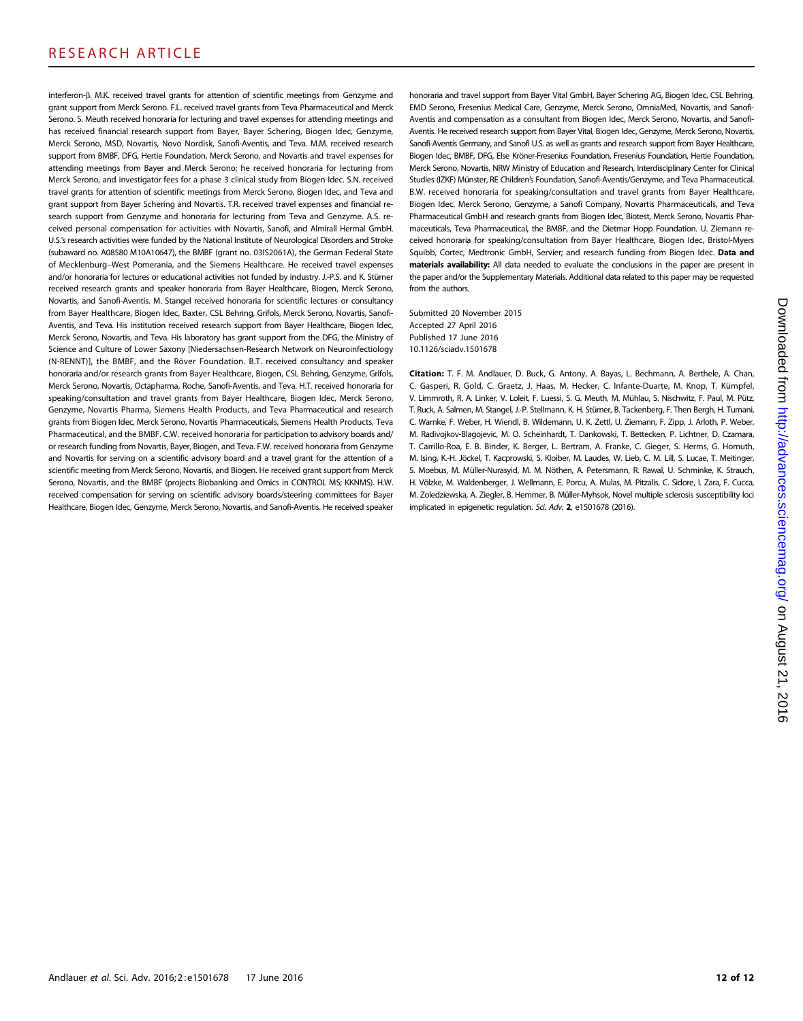interferon- $\beta$ . M.K. received travel grants for attention of scientific meetings from Genzyme and grant support from Merck Serono. F.L. received travel grants from Teva Pharmaceutical and Merck Serono. S. Meuth received honoraria for lecturing and travel expenses for attending meetings and has received financial research support from Bayer, Bayer Schering, Biogen Idec, Genzyme, Merck Serono, MSD, Novartis, Novo Nordisk, Sanofi-Aventis, and Teva. M.M. received research support from BMBF, DFG, Hertie Foundation, Merck Serono, and Novartis and travel expenses for attending meetings from Bayer and Merck Serono; he received honoraria for lecturing from Merck Serono, and investigator fees for a phase 3 clinical study from Biogen Idec. S.N. received travel grants for attention of scientific meetings from Merck Serono, Biogen Idec, and Teva and grant support from Bayer Schering and Novartis. T.R. received travel expenses and financial research support from Genzyme and honoraria for lecturing from Teva and Genzyme. A.S. received personal compensation for activities with Novartis, Sanofi, and Almirall Hermal GmbH. U.S.'s research activities were funded by the National Institute of Neurological Disorders and Stroke (subaward no. A08580 M10A10647), the BMBF (grant no. 03IS2061A), the German Federal State of Mecklenburg–West Pomerania, and the Siemens Healthcare. He received travel expenses and/or honoraria for lectures or educational activities not funded by industry. J.-P.S. and K. Stürner received research grants and speaker honoraria from Bayer Healthcare, Biogen, Merck Serono, Novartis, and Sanofi-Aventis. M. Stangel received honoraria for scientific lectures or consultancy from Bayer Healthcare, Biogen Idec, Baxter, CSL Behring, Grifols, Merck Serono, Novartis, Sanofi-Aventis, and Teva. His institution received research support from Bayer Healthcare, Biogen Idec, Merck Serono, Novartis, and Teva. His laboratory has grant support from the DFG, the Ministry of Science and Culture of Lower Saxony [Niedersachsen-Research Network on Neuroinfectiology (N-RENNT)], the BMBF, and the Röver Foundation. B.T. received consultancy and speaker honoraria and/or research grants from Bayer Healthcare, Biogen, CSL Behring, Genzyme, Grifols, Merck Serono, Novartis, Octapharma, Roche, Sanofi-Aventis, and Teva. H.T. received honoraria for speaking/consultation and travel grants from Bayer Healthcare, Biogen Idec, Merck Serono, Genzyme, Novartis Pharma, Siemens Health Products, and Teva Pharmaceutical and research grants from Biogen Idec, Merck Serono, Novartis Pharmaceuticals, Siemens Health Products, Teva Pharmaceutical, and the BMBF. C.W. received honoraria for participation to advisory boards and/ or research funding from Novartis, Bayer, Biogen, and Teva. F.W. received honoraria from Genzyme and Novartis for serving on a scientific advisory board and a travel grant for the attention of a scientific meeting from Merck Serono, Novartis, and Biogen. He received grant support from Merck Serono, Novartis, and the BMBF (projects Biobanking and Omics in CONTROL MS; KKNMS). H.W. received compensation for serving on scientific advisory boards/steering committees for Bayer Healthcare, Biogen Idec, Genzyme, Merck Serono, Novartis, and Sanofi-Aventis. He received speaker

honoraria and travel support from Bayer Vital GmbH, Bayer Schering AG, Biogen Idec, CSL Behring, EMD Serono, Fresenius Medical Care, Genzyme, Merck Serono, OmniaMed, Novartis, and Sanofi-Aventis and compensation as a consultant from Biogen Idec, Merck Serono, Novartis, and Sanofi-Aventis. He received research support from Bayer Vital, Biogen Idec, Genzyme, Merck Serono, Novartis, Sanofi-Aventis Germany, and Sanofi U.S. as well as grants and research support from Bayer Healthcare, Biogen Idec, BMBF, DFG, Else Kröner-Fresenius Foundation, Fresenius Foundation, Hertie Foundation, Merck Serono, Novartis, NRW Ministry of Education and Research, Interdisciplinary Center for Clinical Studies (IZKF) Münster, RE Children's Foundation, Sanofi-Aventis/Genzyme, and Teva Pharmaceutical. B.W. received honoraria for speaking/consultation and travel grants from Bayer Healthcare, Biogen Idec, Merck Serono, Genzyme, a Sanofi Company, Novartis Pharmaceuticals, and Teva Pharmaceutical GmbH and research grants from Biogen Idec, Biotest, Merck Serono, Novartis Pharmaceuticals, Teva Pharmaceutical, the BMBF, and the Dietmar Hopp Foundation. U. Ziemann received honoraria for speaking/consultation from Bayer Healthcare, Biogen Idec, Bristol-Myers Squibb, Cortec, Medtronic GmbH, Servier; and research funding from Biogen Idec. Data and materials availability: All data needed to evaluate the conclusions in the paper are present in the paper and/or the Supplementary Materials. Additional data related to this paper may be requested from the authors.

Submitted 20 November 2015 Accepted 27 April 2016 Published 17 June 2016 10.1126/sciadv.1501678

Citation: T. F. M. Andlauer, D. Buck, G. Antony, A. Bayas, L. Bechmann, A. Berthele, A. Chan, C. Gasperi, R. Gold, C. Graetz, J. Haas, M. Hecker, C. Infante-Duarte, M. Knop, T. Kümpfel, V. Limmroth, R. A. Linker, V. Loleit, F. Luessi, S. G. Meuth, M. Mühlau, S. Nischwitz, F. Paul, M. Pütz, T. Ruck, A. Salmen, M. Stangel, J.-P. Stellmann, K. H. Stürner, B. Tackenberg, F. Then Bergh, H. Tumani, C. Warnke, F. Weber, H. Wiendl, B. Wildemann, U. K. Zettl, U. Ziemann, F. Zipp, J. Arloth, P. Weber, M. Radivojkov-Blagojevic, M. O. Scheinhardt, T. Dankowski, T. Bettecken, P. Lichtner, D. Czamara, T. Carrillo-Roa, E. B. Binder, K. Berger, L. Bertram, A. Franke, C. Gieger, S. Herms, G. Homuth, M. Ising, K.-H. Jöckel, T. Kacprowski, S. Kloiber, M. Laudes, W. Lieb, C. M. Lill, S. Lucae, T. Meitinger, S. Moebus, M. Müller-Nurasyid, M. M. Nöthen, A. Petersmann, R. Rawal, U. Schminke, K. Strauch, H. Völzke, M. Waldenberger, J. Wellmann, E. Porcu, A. Mulas, M. Pitzalis, C. Sidore, I. Zara, F. Cucca, M. Zoledziewska, A. Ziegler, B. Hemmer, B. Müller-Myhsok, Novel multiple sclerosis susceptibility loci implicated in epigenetic regulation. Sci. Adv. 2, e1501678 (2016).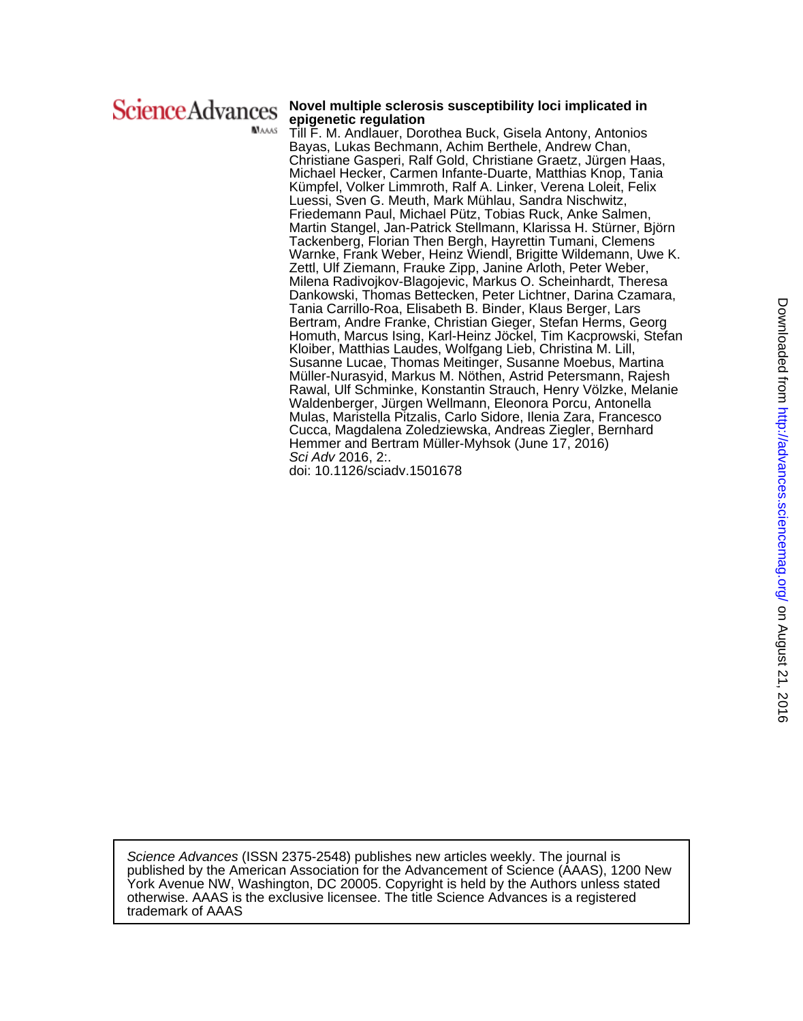# **Science Advances**

**N**AAAS

## **epigenetic regulation Novel multiple sclerosis susceptibility loci implicated in**

doi: 10.1126/sciadv.1501678 Sci Adv 2016, 2:. Hemmer and Bertram Müller-Myhsok (June 17, 2016) Cucca, Magdalena Zoledziewska, Andreas Ziegler, Bernhard Mulas, Maristella Pitzalis, Carlo Sidore, Ilenia Zara, Francesco Waldenberger, Jürgen Wellmann, Eleonora Porcu, Antonella Rawal, Ulf Schminke, Konstantin Strauch, Henry Völzke, Melanie Müller-Nurasyid, Markus M. Nöthen, Astrid Petersmann, Rajesh Susanne Lucae, Thomas Meitinger, Susanne Moebus, Martina Kloiber, Matthias Laudes, Wolfgang Lieb, Christina M. Lill, Homuth, Marcus Ising, Karl-Heinz Jöckel, Tim Kacprowski, Stefan Bertram, Andre Franke, Christian Gieger, Stefan Herms, Georg Tania Carrillo-Roa, Elisabeth B. Binder, Klaus Berger, Lars Dankowski, Thomas Bettecken, Peter Lichtner, Darina Czamara, Milena Radivojkov-Blagojevic, Markus O. Scheinhardt, Theresa Zettl, Ulf Ziemann, Frauke Zipp, Janine Arloth, Peter Weber, Warnke, Frank Weber, Heinz Wiendl, Brigitte Wildemann, Uwe K. Tackenberg, Florian Then Bergh, Hayrettin Tumani, Clemens Martin Stangel, Jan-Patrick Stellmann, Klarissa H. Stürner, Björn Friedemann Paul, Michael Pütz, Tobias Ruck, Anke Salmen, Luessi, Sven G. Meuth, Mark Mühlau, Sandra Nischwitz, Kümpfel, Volker Limmroth, Ralf A. Linker, Verena Loleit, Felix Michael Hecker, Carmen Infante-Duarte, Matthias Knop, Tania Christiane Gasperi, Ralf Gold, Christiane Graetz, Jürgen Haas, Bayas, Lukas Bechmann, Achim Berthele, Andrew Chan, Till F. M. Andlauer, Dorothea Buck, Gisela Antony, Antonios

trademark of AAAS otherwise. AAAS is the exclusive licensee. The title Science Advances is a registered York Avenue NW, Washington, DC 20005. Copyright is held by the Authors unless stated published by the American Association for the Advancement of Science (AAAS), 1200 New Science Advances (ISSN 2375-2548) publishes new articles weekly. The journal is